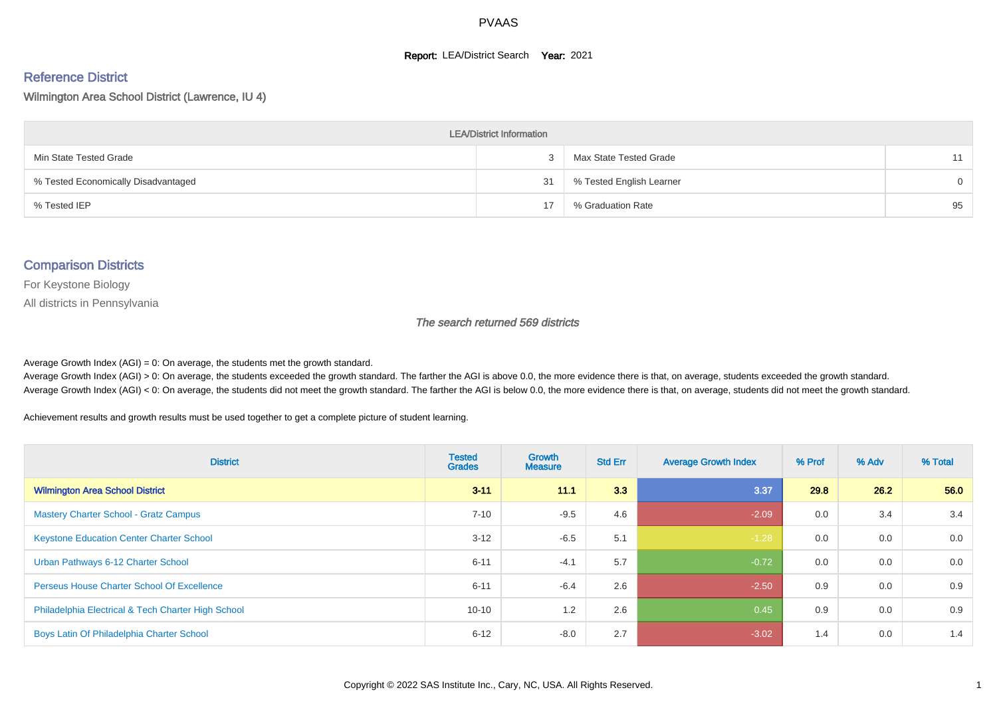#### **Report: LEA/District Search Year: 2021**

# Reference District

Wilmington Area School District (Lawrence, IU 4)

| <b>LEA/District Information</b>     |    |                          |          |  |  |  |  |  |  |  |
|-------------------------------------|----|--------------------------|----------|--|--|--|--|--|--|--|
| Min State Tested Grade              |    | Max State Tested Grade   | 11       |  |  |  |  |  |  |  |
| % Tested Economically Disadvantaged | 31 | % Tested English Learner | $\Omega$ |  |  |  |  |  |  |  |
| % Tested IEP                        | 17 | % Graduation Rate        | 95       |  |  |  |  |  |  |  |

#### Comparison Districts

For Keystone Biology

All districts in Pennsylvania

The search returned 569 districts

Average Growth Index  $(AGI) = 0$ : On average, the students met the growth standard.

Average Growth Index (AGI) > 0: On average, the students exceeded the growth standard. The farther the AGI is above 0.0, the more evidence there is that, on average, students exceeded the growth standard. Average Growth Index (AGI) < 0: On average, the students did not meet the growth standard. The farther the AGI is below 0.0, the more evidence there is that, on average, students did not meet the growth standard.

Achievement results and growth results must be used together to get a complete picture of student learning.

| <b>District</b>                                    | <b>Tested</b><br><b>Grades</b> | <b>Growth</b><br><b>Measure</b> | <b>Std Err</b> | <b>Average Growth Index</b> | % Prof | % Adv | % Total |
|----------------------------------------------------|--------------------------------|---------------------------------|----------------|-----------------------------|--------|-------|---------|
| <b>Wilmington Area School District</b>             | $3 - 11$                       | 11.1                            | 3.3            | 3.37                        | 29.8   | 26.2  | 56.0    |
| <b>Mastery Charter School - Gratz Campus</b>       | $7 - 10$                       | $-9.5$                          | 4.6            | $-2.09$                     | 0.0    | 3.4   | 3.4     |
| <b>Keystone Education Center Charter School</b>    | $3 - 12$                       | $-6.5$                          | 5.1            | $-1.28$                     | 0.0    | 0.0   | 0.0     |
| Urban Pathways 6-12 Charter School                 | $6 - 11$                       | $-4.1$                          | 5.7            | $-0.72$                     | 0.0    | 0.0   | 0.0     |
| <b>Perseus House Charter School Of Excellence</b>  | $6 - 11$                       | $-6.4$                          | 2.6            | $-2.50$                     | 0.9    | 0.0   | 0.9     |
| Philadelphia Electrical & Tech Charter High School | $10 - 10$                      | 1.2                             | 2.6            | 0.45                        | 0.9    | 0.0   | 0.9     |
| Boys Latin Of Philadelphia Charter School          | $6 - 12$                       | $-8.0$                          | 2.7            | $-3.02$                     | 1.4    | 0.0   | 1.4     |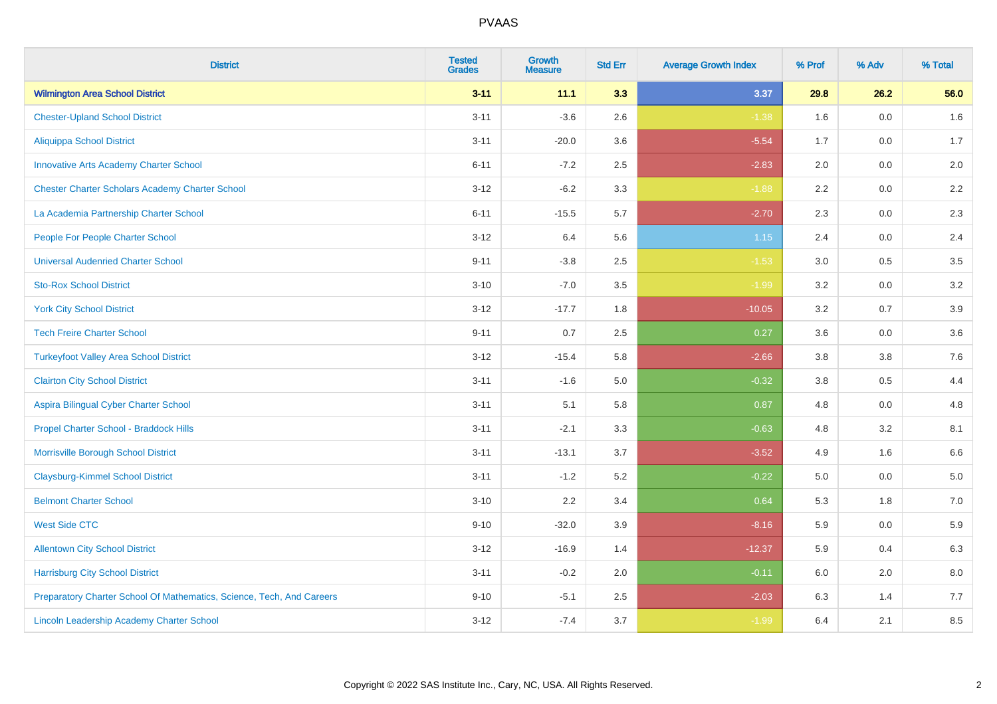| <b>District</b>                                                       | <b>Tested</b><br><b>Grades</b> | <b>Growth</b><br><b>Measure</b> | <b>Std Err</b> | <b>Average Growth Index</b> | % Prof  | % Adv   | % Total |
|-----------------------------------------------------------------------|--------------------------------|---------------------------------|----------------|-----------------------------|---------|---------|---------|
| <b>Wilmington Area School District</b>                                | $3 - 11$                       | 11.1                            | 3.3            | 3.37                        | 29.8    | 26.2    | 56.0    |
| <b>Chester-Upland School District</b>                                 | $3 - 11$                       | $-3.6$                          | 2.6            | $-1.38$                     | 1.6     | 0.0     | 1.6     |
| <b>Aliquippa School District</b>                                      | $3 - 11$                       | $-20.0$                         | 3.6            | $-5.54$                     | 1.7     | 0.0     | 1.7     |
| <b>Innovative Arts Academy Charter School</b>                         | $6 - 11$                       | $-7.2$                          | 2.5            | $-2.83$                     | 2.0     | 0.0     | 2.0     |
| <b>Chester Charter Scholars Academy Charter School</b>                | $3 - 12$                       | $-6.2$                          | 3.3            | $-1.88$                     | 2.2     | 0.0     | $2.2\,$ |
| La Academia Partnership Charter School                                | $6 - 11$                       | $-15.5$                         | 5.7            | $-2.70$                     | 2.3     | 0.0     | 2.3     |
| People For People Charter School                                      | $3 - 12$                       | 6.4                             | 5.6            | 1.15                        | 2.4     | 0.0     | 2.4     |
| <b>Universal Audenried Charter School</b>                             | $9 - 11$                       | $-3.8$                          | 2.5            | $-1.53$                     | 3.0     | 0.5     | 3.5     |
| <b>Sto-Rox School District</b>                                        | $3 - 10$                       | $-7.0$                          | 3.5            | $-1.99$                     | 3.2     | 0.0     | 3.2     |
| <b>York City School District</b>                                      | $3 - 12$                       | $-17.7$                         | 1.8            | $-10.05$                    | 3.2     | 0.7     | 3.9     |
| <b>Tech Freire Charter School</b>                                     | $9 - 11$                       | 0.7                             | 2.5            | 0.27                        | 3.6     | 0.0     | 3.6     |
| <b>Turkeyfoot Valley Area School District</b>                         | $3 - 12$                       | $-15.4$                         | 5.8            | $-2.66$                     | 3.8     | 3.8     | 7.6     |
| <b>Clairton City School District</b>                                  | $3 - 11$                       | $-1.6$                          | $5.0\,$        | $-0.32$                     | $3.8\,$ | 0.5     | 4.4     |
| Aspira Bilingual Cyber Charter School                                 | $3 - 11$                       | 5.1                             | 5.8            | 0.87                        | 4.8     | 0.0     | 4.8     |
| Propel Charter School - Braddock Hills                                | $3 - 11$                       | $-2.1$                          | 3.3            | $-0.63$                     | 4.8     | 3.2     | 8.1     |
| Morrisville Borough School District                                   | $3 - 11$                       | $-13.1$                         | 3.7            | $-3.52$                     | 4.9     | 1.6     | 6.6     |
| <b>Claysburg-Kimmel School District</b>                               | $3 - 11$                       | $-1.2$                          | 5.2            | $-0.22$                     | 5.0     | 0.0     | 5.0     |
| <b>Belmont Charter School</b>                                         | $3 - 10$                       | 2.2                             | 3.4            | 0.64                        | 5.3     | 1.8     | $7.0\,$ |
| <b>West Side CTC</b>                                                  | $9 - 10$                       | $-32.0$                         | 3.9            | $-8.16$                     | 5.9     | 0.0     | 5.9     |
| <b>Allentown City School District</b>                                 | $3 - 12$                       | $-16.9$                         | 1.4            | $-12.37$                    | 5.9     | 0.4     | 6.3     |
| <b>Harrisburg City School District</b>                                | $3 - 11$                       | $-0.2$                          | 2.0            | $-0.11$                     | 6.0     | $2.0\,$ | $8.0\,$ |
| Preparatory Charter School Of Mathematics, Science, Tech, And Careers | $9 - 10$                       | $-5.1$                          | 2.5            | $-2.03$                     | 6.3     | 1.4     | 7.7     |
| Lincoln Leadership Academy Charter School                             | $3 - 12$                       | $-7.4$                          | 3.7            | $-1.99$                     | 6.4     | 2.1     | 8.5     |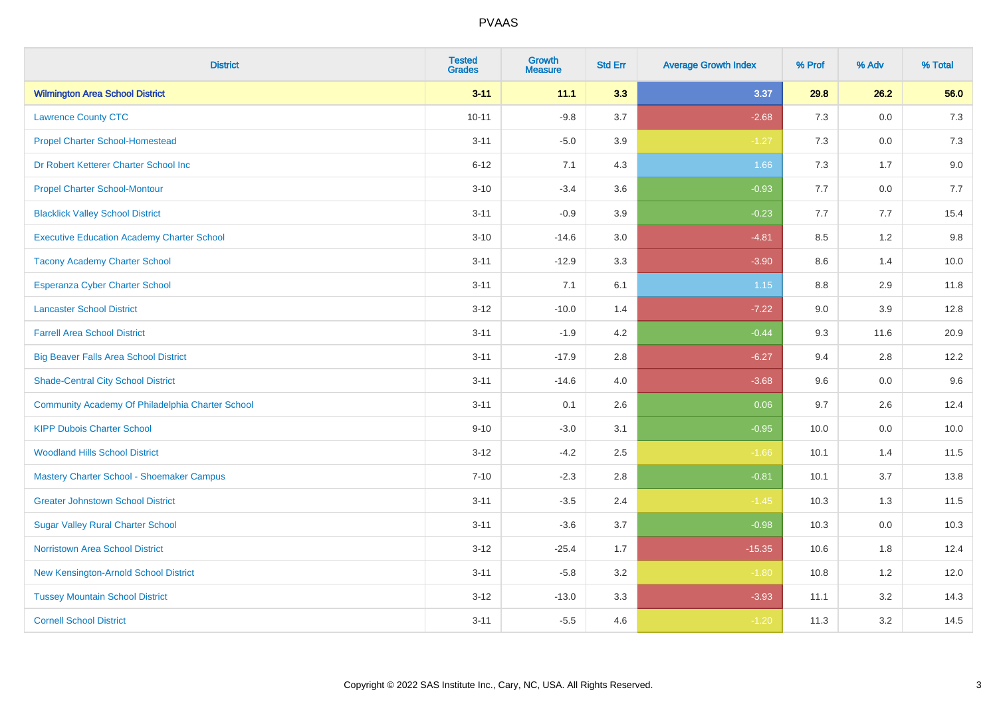| <b>District</b>                                   | <b>Tested</b><br><b>Grades</b> | <b>Growth</b><br><b>Measure</b> | <b>Std Err</b> | <b>Average Growth Index</b> | % Prof | % Adv   | % Total |
|---------------------------------------------------|--------------------------------|---------------------------------|----------------|-----------------------------|--------|---------|---------|
| <b>Wilmington Area School District</b>            | $3 - 11$                       | 11.1                            | 3.3            | 3.37                        | 29.8   | 26.2    | 56.0    |
| <b>Lawrence County CTC</b>                        | $10 - 11$                      | $-9.8$                          | 3.7            | $-2.68$                     | 7.3    | 0.0     | 7.3     |
| <b>Propel Charter School-Homestead</b>            | $3 - 11$                       | $-5.0$                          | 3.9            | $-1.27$                     | 7.3    | 0.0     | $7.3$   |
| Dr Robert Ketterer Charter School Inc             | $6 - 12$                       | 7.1                             | 4.3            | 1.66                        | 7.3    | 1.7     | 9.0     |
| <b>Propel Charter School-Montour</b>              | $3 - 10$                       | $-3.4$                          | 3.6            | $-0.93$                     | 7.7    | 0.0     | 7.7     |
| <b>Blacklick Valley School District</b>           | $3 - 11$                       | $-0.9$                          | 3.9            | $-0.23$                     | 7.7    | 7.7     | 15.4    |
| <b>Executive Education Academy Charter School</b> | $3 - 10$                       | $-14.6$                         | 3.0            | $-4.81$                     | 8.5    | 1.2     | 9.8     |
| <b>Tacony Academy Charter School</b>              | $3 - 11$                       | $-12.9$                         | 3.3            | $-3.90$                     | 8.6    | 1.4     | 10.0    |
| <b>Esperanza Cyber Charter School</b>             | $3 - 11$                       | 7.1                             | 6.1            | 1.15                        | 8.8    | 2.9     | 11.8    |
| <b>Lancaster School District</b>                  | $3 - 12$                       | $-10.0$                         | 1.4            | $-7.22$                     | 9.0    | 3.9     | 12.8    |
| <b>Farrell Area School District</b>               | $3 - 11$                       | $-1.9$                          | 4.2            | $-0.44$                     | 9.3    | 11.6    | 20.9    |
| <b>Big Beaver Falls Area School District</b>      | $3 - 11$                       | $-17.9$                         | 2.8            | $-6.27$                     | 9.4    | 2.8     | 12.2    |
| <b>Shade-Central City School District</b>         | $3 - 11$                       | $-14.6$                         | 4.0            | $-3.68$                     | 9.6    | $0.0\,$ | 9.6     |
| Community Academy Of Philadelphia Charter School  | $3 - 11$                       | 0.1                             | 2.6            | 0.06                        | 9.7    | 2.6     | 12.4    |
| <b>KIPP Dubois Charter School</b>                 | $9 - 10$                       | $-3.0$                          | 3.1            | $-0.95$                     | 10.0   | 0.0     | 10.0    |
| <b>Woodland Hills School District</b>             | $3 - 12$                       | $-4.2$                          | 2.5            | $-1.66$                     | 10.1   | 1.4     | 11.5    |
| Mastery Charter School - Shoemaker Campus         | $7 - 10$                       | $-2.3$                          | 2.8            | $-0.81$                     | 10.1   | 3.7     | 13.8    |
| <b>Greater Johnstown School District</b>          | $3 - 11$                       | $-3.5$                          | 2.4            | $-1.45$                     | 10.3   | 1.3     | 11.5    |
| <b>Sugar Valley Rural Charter School</b>          | $3 - 11$                       | $-3.6$                          | 3.7            | $-0.98$                     | 10.3   | 0.0     | 10.3    |
| <b>Norristown Area School District</b>            | $3 - 12$                       | $-25.4$                         | 1.7            | $-15.35$                    | 10.6   | 1.8     | 12.4    |
| New Kensington-Arnold School District             | $3 - 11$                       | $-5.8$                          | 3.2            | $-1.80$                     | 10.8   | 1.2     | 12.0    |
| <b>Tussey Mountain School District</b>            | $3 - 12$                       | $-13.0$                         | 3.3            | $-3.93$                     | 11.1   | 3.2     | 14.3    |
| <b>Cornell School District</b>                    | $3 - 11$                       | $-5.5$                          | 4.6            | $-1.20$                     | 11.3   | 3.2     | 14.5    |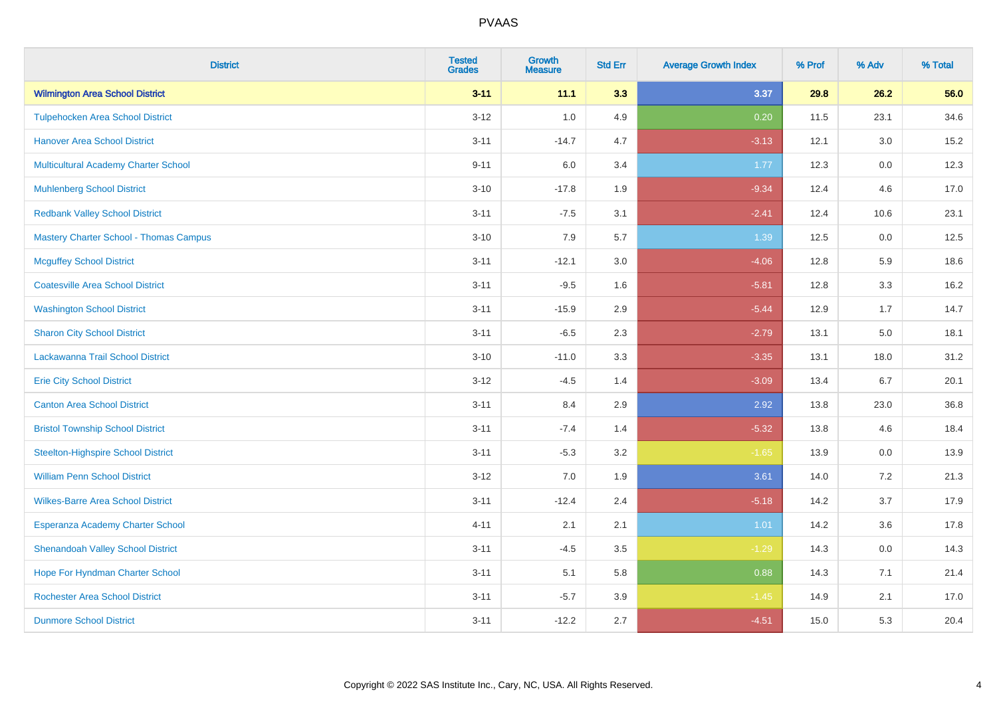| <b>District</b>                               | <b>Tested</b><br><b>Grades</b> | <b>Growth</b><br><b>Measure</b> | <b>Std Err</b> | <b>Average Growth Index</b> | % Prof | % Adv   | % Total |
|-----------------------------------------------|--------------------------------|---------------------------------|----------------|-----------------------------|--------|---------|---------|
| <b>Wilmington Area School District</b>        | $3 - 11$                       | 11.1                            | 3.3            | 3.37                        | 29.8   | 26.2    | 56.0    |
| <b>Tulpehocken Area School District</b>       | $3 - 12$                       | 1.0                             | 4.9            | 0.20                        | 11.5   | 23.1    | 34.6    |
| <b>Hanover Area School District</b>           | $3 - 11$                       | $-14.7$                         | 4.7            | $-3.13$                     | 12.1   | 3.0     | 15.2    |
| Multicultural Academy Charter School          | $9 - 11$                       | 6.0                             | 3.4            | 1.77                        | 12.3   | $0.0\,$ | 12.3    |
| <b>Muhlenberg School District</b>             | $3 - 10$                       | $-17.8$                         | 1.9            | $-9.34$                     | 12.4   | 4.6     | 17.0    |
| <b>Redbank Valley School District</b>         | $3 - 11$                       | $-7.5$                          | 3.1            | $-2.41$                     | 12.4   | 10.6    | 23.1    |
| <b>Mastery Charter School - Thomas Campus</b> | $3 - 10$                       | 7.9                             | 5.7            | 1.39                        | 12.5   | 0.0     | 12.5    |
| <b>Mcguffey School District</b>               | $3 - 11$                       | $-12.1$                         | 3.0            | $-4.06$                     | 12.8   | 5.9     | 18.6    |
| <b>Coatesville Area School District</b>       | $3 - 11$                       | $-9.5$                          | 1.6            | $-5.81$                     | 12.8   | 3.3     | 16.2    |
| <b>Washington School District</b>             | $3 - 11$                       | $-15.9$                         | 2.9            | $-5.44$                     | 12.9   | 1.7     | 14.7    |
| <b>Sharon City School District</b>            | $3 - 11$                       | $-6.5$                          | 2.3            | $-2.79$                     | 13.1   | 5.0     | 18.1    |
| Lackawanna Trail School District              | $3 - 10$                       | $-11.0$                         | 3.3            | $-3.35$                     | 13.1   | 18.0    | 31.2    |
| <b>Erie City School District</b>              | $3 - 12$                       | $-4.5$                          | 1.4            | $-3.09$                     | 13.4   | 6.7     | 20.1    |
| <b>Canton Area School District</b>            | $3 - 11$                       | 8.4                             | 2.9            | 2.92                        | 13.8   | 23.0    | 36.8    |
| <b>Bristol Township School District</b>       | $3 - 11$                       | $-7.4$                          | 1.4            | $-5.32$                     | 13.8   | 4.6     | 18.4    |
| <b>Steelton-Highspire School District</b>     | $3 - 11$                       | $-5.3$                          | 3.2            | $-1.65$                     | 13.9   | 0.0     | 13.9    |
| <b>William Penn School District</b>           | $3 - 12$                       | 7.0                             | 1.9            | 3.61                        | 14.0   | 7.2     | 21.3    |
| <b>Wilkes-Barre Area School District</b>      | $3 - 11$                       | $-12.4$                         | 2.4            | $-5.18$                     | 14.2   | 3.7     | 17.9    |
| Esperanza Academy Charter School              | $4 - 11$                       | 2.1                             | 2.1            | 1.01                        | 14.2   | 3.6     | 17.8    |
| <b>Shenandoah Valley School District</b>      | $3 - 11$                       | $-4.5$                          | 3.5            | $-1.29$                     | 14.3   | 0.0     | 14.3    |
| Hope For Hyndman Charter School               | $3 - 11$                       | 5.1                             | 5.8            | 0.88                        | 14.3   | 7.1     | 21.4    |
| <b>Rochester Area School District</b>         | $3 - 11$                       | $-5.7$                          | 3.9            | $-1.45$                     | 14.9   | 2.1     | 17.0    |
| <b>Dunmore School District</b>                | $3 - 11$                       | $-12.2$                         | 2.7            | $-4.51$                     | 15.0   | 5.3     | 20.4    |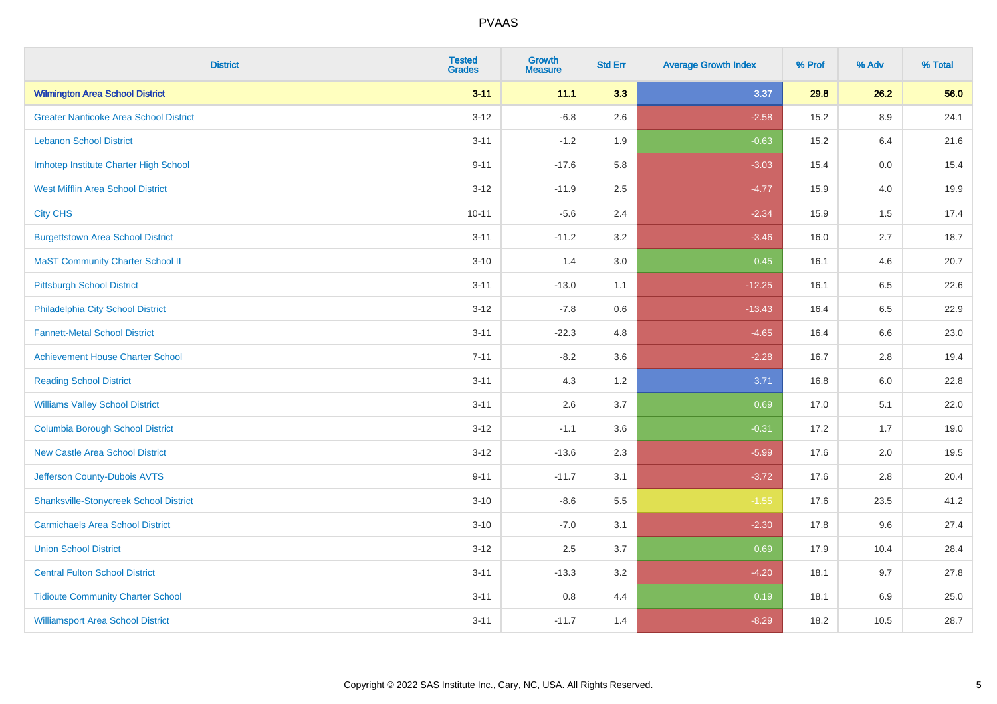| <b>District</b>                               | <b>Tested</b><br><b>Grades</b> | <b>Growth</b><br><b>Measure</b> | <b>Std Err</b> | <b>Average Growth Index</b> | % Prof | % Adv   | % Total |
|-----------------------------------------------|--------------------------------|---------------------------------|----------------|-----------------------------|--------|---------|---------|
| <b>Wilmington Area School District</b>        | $3 - 11$                       | 11.1                            | 3.3            | 3.37                        | 29.8   | 26.2    | 56.0    |
| <b>Greater Nanticoke Area School District</b> | $3 - 12$                       | $-6.8$                          | 2.6            | $-2.58$                     | 15.2   | $8.9\,$ | 24.1    |
| <b>Lebanon School District</b>                | $3 - 11$                       | $-1.2$                          | 1.9            | $-0.63$                     | 15.2   | 6.4     | 21.6    |
| Imhotep Institute Charter High School         | $9 - 11$                       | $-17.6$                         | 5.8            | $-3.03$                     | 15.4   | 0.0     | 15.4    |
| <b>West Mifflin Area School District</b>      | $3 - 12$                       | $-11.9$                         | 2.5            | $-4.77$                     | 15.9   | 4.0     | 19.9    |
| <b>City CHS</b>                               | $10 - 11$                      | $-5.6$                          | 2.4            | $-2.34$                     | 15.9   | 1.5     | 17.4    |
| <b>Burgettstown Area School District</b>      | $3 - 11$                       | $-11.2$                         | 3.2            | $-3.46$                     | 16.0   | 2.7     | 18.7    |
| <b>MaST Community Charter School II</b>       | $3 - 10$                       | 1.4                             | 3.0            | 0.45                        | 16.1   | 4.6     | 20.7    |
| <b>Pittsburgh School District</b>             | $3 - 11$                       | $-13.0$                         | 1.1            | $-12.25$                    | 16.1   | 6.5     | 22.6    |
| Philadelphia City School District             | $3 - 12$                       | $-7.8$                          | 0.6            | $-13.43$                    | 16.4   | 6.5     | 22.9    |
| <b>Fannett-Metal School District</b>          | $3 - 11$                       | $-22.3$                         | 4.8            | $-4.65$                     | 16.4   | 6.6     | 23.0    |
| <b>Achievement House Charter School</b>       | $7 - 11$                       | $-8.2$                          | 3.6            | $-2.28$                     | 16.7   | 2.8     | 19.4    |
| <b>Reading School District</b>                | $3 - 11$                       | 4.3                             | 1.2            | 3.71                        | 16.8   | 6.0     | 22.8    |
| <b>Williams Valley School District</b>        | $3 - 11$                       | 2.6                             | 3.7            | 0.69                        | 17.0   | 5.1     | 22.0    |
| <b>Columbia Borough School District</b>       | $3 - 12$                       | $-1.1$                          | 3.6            | $-0.31$                     | 17.2   | 1.7     | 19.0    |
| <b>New Castle Area School District</b>        | $3 - 12$                       | $-13.6$                         | 2.3            | $-5.99$                     | 17.6   | 2.0     | 19.5    |
| Jefferson County-Dubois AVTS                  | $9 - 11$                       | $-11.7$                         | 3.1            | $-3.72$                     | 17.6   | 2.8     | 20.4    |
| <b>Shanksville-Stonycreek School District</b> | $3 - 10$                       | $-8.6$                          | 5.5            | $-1.55$                     | 17.6   | 23.5    | 41.2    |
| <b>Carmichaels Area School District</b>       | $3 - 10$                       | $-7.0$                          | 3.1            | $-2.30$                     | 17.8   | 9.6     | 27.4    |
| <b>Union School District</b>                  | $3 - 12$                       | 2.5                             | 3.7            | 0.69                        | 17.9   | 10.4    | 28.4    |
| <b>Central Fulton School District</b>         | $3 - 11$                       | $-13.3$                         | 3.2            | $-4.20$                     | 18.1   | 9.7     | 27.8    |
| <b>Tidioute Community Charter School</b>      | $3 - 11$                       | 0.8                             | 4.4            | 0.19                        | 18.1   | 6.9     | 25.0    |
| <b>Williamsport Area School District</b>      | $3 - 11$                       | $-11.7$                         | 1.4            | $-8.29$                     | 18.2   | 10.5    | 28.7    |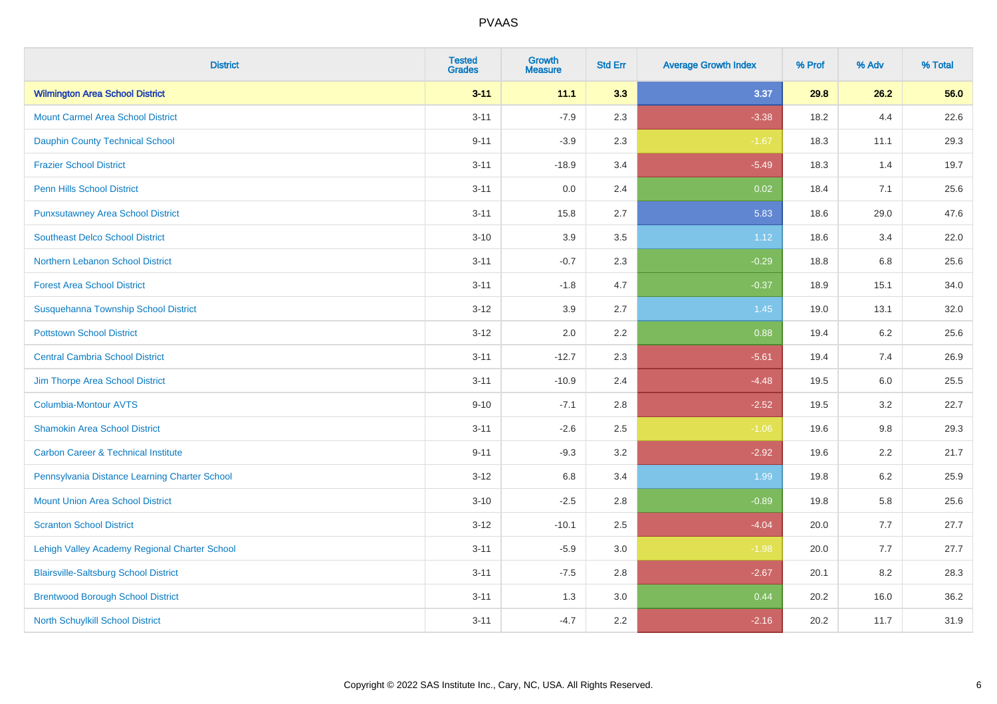| <b>District</b>                                | <b>Tested</b><br><b>Grades</b> | <b>Growth</b><br><b>Measure</b> | <b>Std Err</b> | <b>Average Growth Index</b> | % Prof | % Adv | % Total |
|------------------------------------------------|--------------------------------|---------------------------------|----------------|-----------------------------|--------|-------|---------|
| <b>Wilmington Area School District</b>         | $3 - 11$                       | 11.1                            | 3.3            | 3.37                        | 29.8   | 26.2  | 56.0    |
| <b>Mount Carmel Area School District</b>       | $3 - 11$                       | $-7.9$                          | 2.3            | $-3.38$                     | 18.2   | 4.4   | 22.6    |
| <b>Dauphin County Technical School</b>         | $9 - 11$                       | $-3.9$                          | 2.3            | $-1.67$                     | 18.3   | 11.1  | 29.3    |
| <b>Frazier School District</b>                 | $3 - 11$                       | $-18.9$                         | 3.4            | $-5.49$                     | 18.3   | 1.4   | 19.7    |
| <b>Penn Hills School District</b>              | $3 - 11$                       | 0.0                             | 2.4            | 0.02                        | 18.4   | 7.1   | 25.6    |
| <b>Punxsutawney Area School District</b>       | $3 - 11$                       | 15.8                            | 2.7            | 5.83                        | 18.6   | 29.0  | 47.6    |
| <b>Southeast Delco School District</b>         | $3 - 10$                       | 3.9                             | 3.5            | 1.12                        | 18.6   | 3.4   | 22.0    |
| Northern Lebanon School District               | $3 - 11$                       | $-0.7$                          | 2.3            | $-0.29$                     | 18.8   | 6.8   | 25.6    |
| <b>Forest Area School District</b>             | $3 - 11$                       | $-1.8$                          | 4.7            | $-0.37$                     | 18.9   | 15.1  | 34.0    |
| Susquehanna Township School District           | $3 - 12$                       | 3.9                             | 2.7            | 1.45                        | 19.0   | 13.1  | 32.0    |
| <b>Pottstown School District</b>               | $3 - 12$                       | 2.0                             | 2.2            | 0.88                        | 19.4   | 6.2   | 25.6    |
| <b>Central Cambria School District</b>         | $3 - 11$                       | $-12.7$                         | 2.3            | $-5.61$                     | 19.4   | 7.4   | 26.9    |
| Jim Thorpe Area School District                | $3 - 11$                       | $-10.9$                         | 2.4            | $-4.48$                     | 19.5   | 6.0   | 25.5    |
| <b>Columbia-Montour AVTS</b>                   | $9 - 10$                       | $-7.1$                          | 2.8            | $-2.52$                     | 19.5   | 3.2   | 22.7    |
| <b>Shamokin Area School District</b>           | $3 - 11$                       | $-2.6$                          | 2.5            | $-1.06$                     | 19.6   | 9.8   | 29.3    |
| <b>Carbon Career &amp; Technical Institute</b> | $9 - 11$                       | $-9.3$                          | 3.2            | $-2.92$                     | 19.6   | 2.2   | 21.7    |
| Pennsylvania Distance Learning Charter School  | $3 - 12$                       | 6.8                             | 3.4            | 1.99                        | 19.8   | 6.2   | 25.9    |
| <b>Mount Union Area School District</b>        | $3 - 10$                       | $-2.5$                          | 2.8            | $-0.89$                     | 19.8   | 5.8   | 25.6    |
| <b>Scranton School District</b>                | $3 - 12$                       | $-10.1$                         | 2.5            | $-4.04$                     | 20.0   | 7.7   | 27.7    |
| Lehigh Valley Academy Regional Charter School  | $3 - 11$                       | $-5.9$                          | 3.0            | $-1.98$                     | 20.0   | 7.7   | 27.7    |
| <b>Blairsville-Saltsburg School District</b>   | $3 - 11$                       | $-7.5$                          | 2.8            | $-2.67$                     | 20.1   | 8.2   | 28.3    |
| <b>Brentwood Borough School District</b>       | $3 - 11$                       | 1.3                             | 3.0            | 0.44                        | 20.2   | 16.0  | 36.2    |
| North Schuylkill School District               | $3 - 11$                       | $-4.7$                          | 2.2            | $-2.16$                     | 20.2   | 11.7  | 31.9    |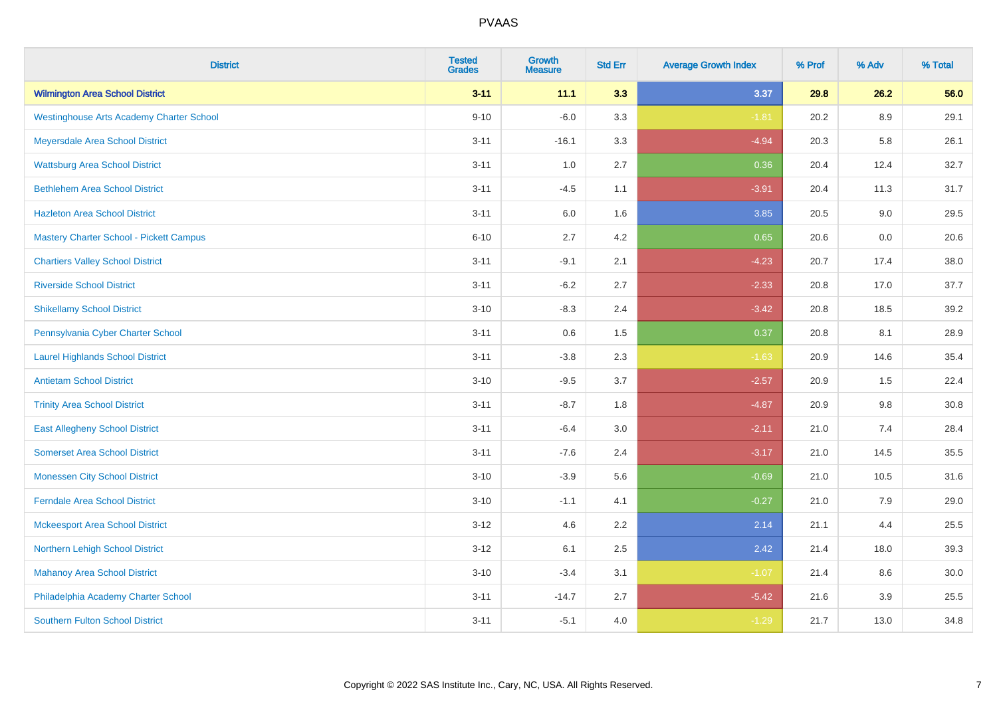| <b>District</b>                                 | <b>Tested</b><br><b>Grades</b> | <b>Growth</b><br><b>Measure</b> | <b>Std Err</b> | <b>Average Growth Index</b> | % Prof | % Adv   | % Total |
|-------------------------------------------------|--------------------------------|---------------------------------|----------------|-----------------------------|--------|---------|---------|
| <b>Wilmington Area School District</b>          | $3 - 11$                       | 11.1                            | 3.3            | 3.37                        | 29.8   | 26.2    | 56.0    |
| <b>Westinghouse Arts Academy Charter School</b> | $9 - 10$                       | $-6.0$                          | 3.3            | $-1.81$                     | 20.2   | $8.9\,$ | 29.1    |
| Meyersdale Area School District                 | $3 - 11$                       | $-16.1$                         | 3.3            | $-4.94$                     | 20.3   | 5.8     | 26.1    |
| <b>Wattsburg Area School District</b>           | $3 - 11$                       | 1.0                             | 2.7            | 0.36                        | 20.4   | 12.4    | 32.7    |
| <b>Bethlehem Area School District</b>           | $3 - 11$                       | $-4.5$                          | 1.1            | $-3.91$                     | 20.4   | 11.3    | 31.7    |
| <b>Hazleton Area School District</b>            | $3 - 11$                       | 6.0                             | 1.6            | 3.85                        | 20.5   | 9.0     | 29.5    |
| <b>Mastery Charter School - Pickett Campus</b>  | $6 - 10$                       | 2.7                             | 4.2            | 0.65                        | 20.6   | 0.0     | 20.6    |
| <b>Chartiers Valley School District</b>         | $3 - 11$                       | $-9.1$                          | 2.1            | $-4.23$                     | 20.7   | 17.4    | 38.0    |
| <b>Riverside School District</b>                | $3 - 11$                       | $-6.2$                          | 2.7            | $-2.33$                     | 20.8   | 17.0    | 37.7    |
| <b>Shikellamy School District</b>               | $3 - 10$                       | $-8.3$                          | 2.4            | $-3.42$                     | 20.8   | 18.5    | 39.2    |
| Pennsylvania Cyber Charter School               | $3 - 11$                       | 0.6                             | 1.5            | 0.37                        | 20.8   | 8.1     | 28.9    |
| <b>Laurel Highlands School District</b>         | $3 - 11$                       | $-3.8$                          | 2.3            | $-1.63$                     | 20.9   | 14.6    | 35.4    |
| <b>Antietam School District</b>                 | $3 - 10$                       | $-9.5$                          | 3.7            | $-2.57$                     | 20.9   | $1.5\,$ | 22.4    |
| <b>Trinity Area School District</b>             | $3 - 11$                       | $-8.7$                          | 1.8            | $-4.87$                     | 20.9   | 9.8     | 30.8    |
| <b>East Allegheny School District</b>           | $3 - 11$                       | $-6.4$                          | 3.0            | $-2.11$                     | 21.0   | 7.4     | 28.4    |
| <b>Somerset Area School District</b>            | $3 - 11$                       | $-7.6$                          | 2.4            | $-3.17$                     | 21.0   | 14.5    | 35.5    |
| <b>Monessen City School District</b>            | $3 - 10$                       | $-3.9$                          | 5.6            | $-0.69$                     | 21.0   | 10.5    | 31.6    |
| <b>Ferndale Area School District</b>            | $3 - 10$                       | $-1.1$                          | 4.1            | $-0.27$                     | 21.0   | 7.9     | 29.0    |
| <b>Mckeesport Area School District</b>          | $3 - 12$                       | 4.6                             | 2.2            | 2.14                        | 21.1   | 4.4     | 25.5    |
| Northern Lehigh School District                 | $3 - 12$                       | 6.1                             | 2.5            | 2.42                        | 21.4   | 18.0    | 39.3    |
| <b>Mahanoy Area School District</b>             | $3 - 10$                       | $-3.4$                          | 3.1            | $-1.07$                     | 21.4   | 8.6     | 30.0    |
| Philadelphia Academy Charter School             | $3 - 11$                       | $-14.7$                         | 2.7            | $-5.42$                     | 21.6   | 3.9     | 25.5    |
| <b>Southern Fulton School District</b>          | $3 - 11$                       | $-5.1$                          | 4.0            | $-1.29$                     | 21.7   | 13.0    | 34.8    |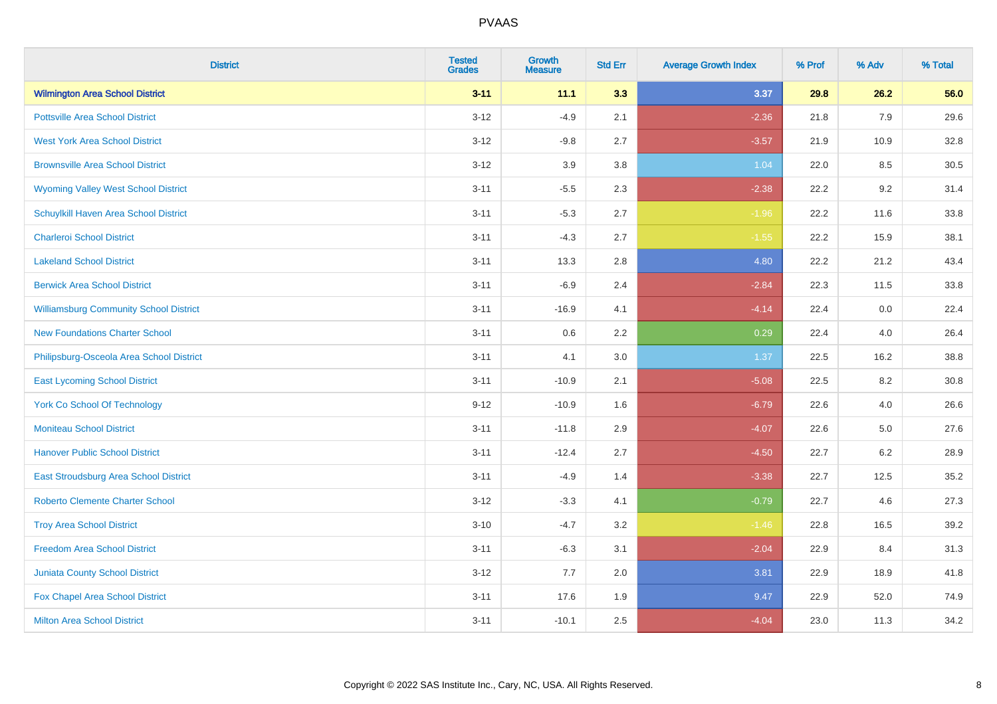| <b>District</b>                               | <b>Tested</b><br><b>Grades</b> | Growth<br>Measure | <b>Std Err</b> | <b>Average Growth Index</b> | % Prof | % Adv   | % Total  |
|-----------------------------------------------|--------------------------------|-------------------|----------------|-----------------------------|--------|---------|----------|
| <b>Wilmington Area School District</b>        | $3 - 11$                       | 11.1              | 3.3            | 3.37                        | 29.8   | 26.2    | 56.0     |
| <b>Pottsville Area School District</b>        | $3 - 12$                       | $-4.9$            | 2.1            | $-2.36$                     | 21.8   | 7.9     | 29.6     |
| <b>West York Area School District</b>         | $3 - 12$                       | $-9.8$            | 2.7            | $-3.57$                     | 21.9   | 10.9    | 32.8     |
| <b>Brownsville Area School District</b>       | $3 - 12$                       | 3.9               | 3.8            | 1.04                        | 22.0   | 8.5     | 30.5     |
| <b>Wyoming Valley West School District</b>    | $3 - 11$                       | $-5.5$            | 2.3            | $-2.38$                     | 22.2   | 9.2     | 31.4     |
| Schuylkill Haven Area School District         | $3 - 11$                       | $-5.3$            | 2.7            | $-1.96$                     | 22.2   | 11.6    | 33.8     |
| <b>Charleroi School District</b>              | $3 - 11$                       | $-4.3$            | 2.7            | $-1.55$                     | 22.2   | 15.9    | 38.1     |
| <b>Lakeland School District</b>               | $3 - 11$                       | 13.3              | 2.8            | 4.80                        | 22.2   | 21.2    | 43.4     |
| <b>Berwick Area School District</b>           | $3 - 11$                       | $-6.9$            | 2.4            | $-2.84$                     | 22.3   | 11.5    | 33.8     |
| <b>Williamsburg Community School District</b> | $3 - 11$                       | $-16.9$           | 4.1            | $-4.14$                     | 22.4   | 0.0     | 22.4     |
| <b>New Foundations Charter School</b>         | $3 - 11$                       | 0.6               | 2.2            | 0.29                        | 22.4   | 4.0     | 26.4     |
| Philipsburg-Osceola Area School District      | $3 - 11$                       | 4.1               | 3.0            | 1.37                        | 22.5   | 16.2    | 38.8     |
| <b>East Lycoming School District</b>          | $3 - 11$                       | $-10.9$           | 2.1            | $-5.08$                     | 22.5   | $8.2\,$ | $30.8\,$ |
| <b>York Co School Of Technology</b>           | $9 - 12$                       | $-10.9$           | 1.6            | $-6.79$                     | 22.6   | 4.0     | 26.6     |
| <b>Moniteau School District</b>               | $3 - 11$                       | $-11.8$           | 2.9            | $-4.07$                     | 22.6   | $5.0\,$ | 27.6     |
| <b>Hanover Public School District</b>         | $3 - 11$                       | $-12.4$           | 2.7            | $-4.50$                     | 22.7   | $6.2\,$ | 28.9     |
| East Stroudsburg Area School District         | $3 - 11$                       | $-4.9$            | 1.4            | $-3.38$                     | 22.7   | 12.5    | 35.2     |
| <b>Roberto Clemente Charter School</b>        | $3 - 12$                       | $-3.3$            | 4.1            | $-0.79$                     | 22.7   | 4.6     | 27.3     |
| <b>Troy Area School District</b>              | $3 - 10$                       | $-4.7$            | 3.2            | $-1.46$                     | 22.8   | 16.5    | 39.2     |
| <b>Freedom Area School District</b>           | $3 - 11$                       | $-6.3$            | 3.1            | $-2.04$                     | 22.9   | 8.4     | 31.3     |
| <b>Juniata County School District</b>         | $3 - 12$                       | 7.7               | 2.0            | 3.81                        | 22.9   | 18.9    | 41.8     |
| Fox Chapel Area School District               | $3 - 11$                       | 17.6              | 1.9            | 9.47                        | 22.9   | 52.0    | 74.9     |
| <b>Milton Area School District</b>            | $3 - 11$                       | $-10.1$           | 2.5            | $-4.04$                     | 23.0   | 11.3    | 34.2     |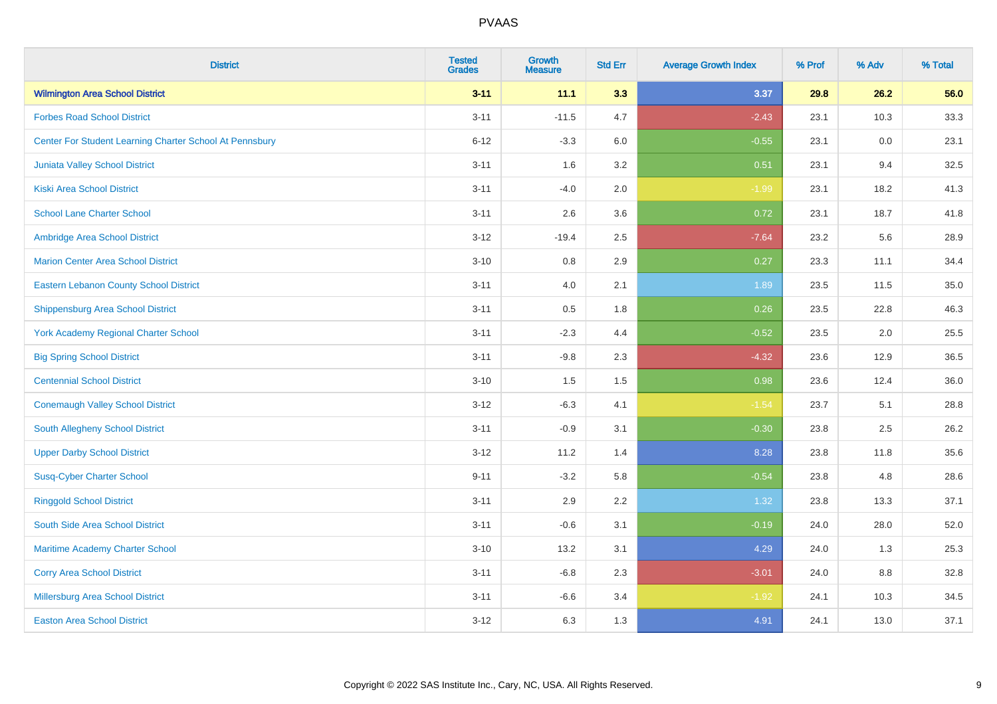| <b>District</b>                                         | <b>Tested</b><br><b>Grades</b> | <b>Growth</b><br><b>Measure</b> | <b>Std Err</b> | <b>Average Growth Index</b> | % Prof | % Adv | % Total |
|---------------------------------------------------------|--------------------------------|---------------------------------|----------------|-----------------------------|--------|-------|---------|
| <b>Wilmington Area School District</b>                  | $3 - 11$                       | 11.1                            | 3.3            | 3.37                        | 29.8   | 26.2  | 56.0    |
| <b>Forbes Road School District</b>                      | $3 - 11$                       | $-11.5$                         | 4.7            | $-2.43$                     | 23.1   | 10.3  | 33.3    |
| Center For Student Learning Charter School At Pennsbury | $6 - 12$                       | $-3.3$                          | 6.0            | $-0.55$                     | 23.1   | 0.0   | 23.1    |
| Juniata Valley School District                          | $3 - 11$                       | 1.6                             | 3.2            | 0.51                        | 23.1   | 9.4   | 32.5    |
| <b>Kiski Area School District</b>                       | $3 - 11$                       | $-4.0$                          | 2.0            | $-1.99$                     | 23.1   | 18.2  | 41.3    |
| <b>School Lane Charter School</b>                       | $3 - 11$                       | 2.6                             | 3.6            | 0.72                        | 23.1   | 18.7  | 41.8    |
| Ambridge Area School District                           | $3 - 12$                       | $-19.4$                         | 2.5            | $-7.64$                     | 23.2   | 5.6   | 28.9    |
| <b>Marion Center Area School District</b>               | $3 - 10$                       | 0.8                             | 2.9            | 0.27                        | 23.3   | 11.1  | 34.4    |
| <b>Eastern Lebanon County School District</b>           | $3 - 11$                       | 4.0                             | 2.1            | 1.89                        | 23.5   | 11.5  | 35.0    |
| <b>Shippensburg Area School District</b>                | $3 - 11$                       | 0.5                             | 1.8            | 0.26                        | 23.5   | 22.8  | 46.3    |
| <b>York Academy Regional Charter School</b>             | $3 - 11$                       | $-2.3$                          | 4.4            | $-0.52$                     | 23.5   | 2.0   | 25.5    |
| <b>Big Spring School District</b>                       | $3 - 11$                       | $-9.8$                          | 2.3            | $-4.32$                     | 23.6   | 12.9  | 36.5    |
| <b>Centennial School District</b>                       | $3 - 10$                       | 1.5                             | 1.5            | 0.98                        | 23.6   | 12.4  | 36.0    |
| <b>Conemaugh Valley School District</b>                 | $3 - 12$                       | $-6.3$                          | 4.1            | $-1.54$                     | 23.7   | 5.1   | 28.8    |
| South Allegheny School District                         | $3 - 11$                       | $-0.9$                          | 3.1            | $-0.30$                     | 23.8   | 2.5   | 26.2    |
| <b>Upper Darby School District</b>                      | $3 - 12$                       | 11.2                            | 1.4            | 8.28                        | 23.8   | 11.8  | 35.6    |
| <b>Susq-Cyber Charter School</b>                        | $9 - 11$                       | $-3.2$                          | 5.8            | $-0.54$                     | 23.8   | 4.8   | 28.6    |
| <b>Ringgold School District</b>                         | $3 - 11$                       | 2.9                             | 2.2            | 1.32                        | 23.8   | 13.3  | 37.1    |
| South Side Area School District                         | $3 - 11$                       | $-0.6$                          | 3.1            | $-0.19$                     | 24.0   | 28.0  | 52.0    |
| Maritime Academy Charter School                         | $3 - 10$                       | 13.2                            | 3.1            | 4.29                        | 24.0   | 1.3   | 25.3    |
| <b>Corry Area School District</b>                       | $3 - 11$                       | $-6.8$                          | 2.3            | $-3.01$                     | 24.0   | 8.8   | 32.8    |
| Millersburg Area School District                        | $3 - 11$                       | $-6.6$                          | 3.4            | $-1.92$                     | 24.1   | 10.3  | 34.5    |
| <b>Easton Area School District</b>                      | $3 - 12$                       | 6.3                             | 1.3            | 4.91                        | 24.1   | 13.0  | 37.1    |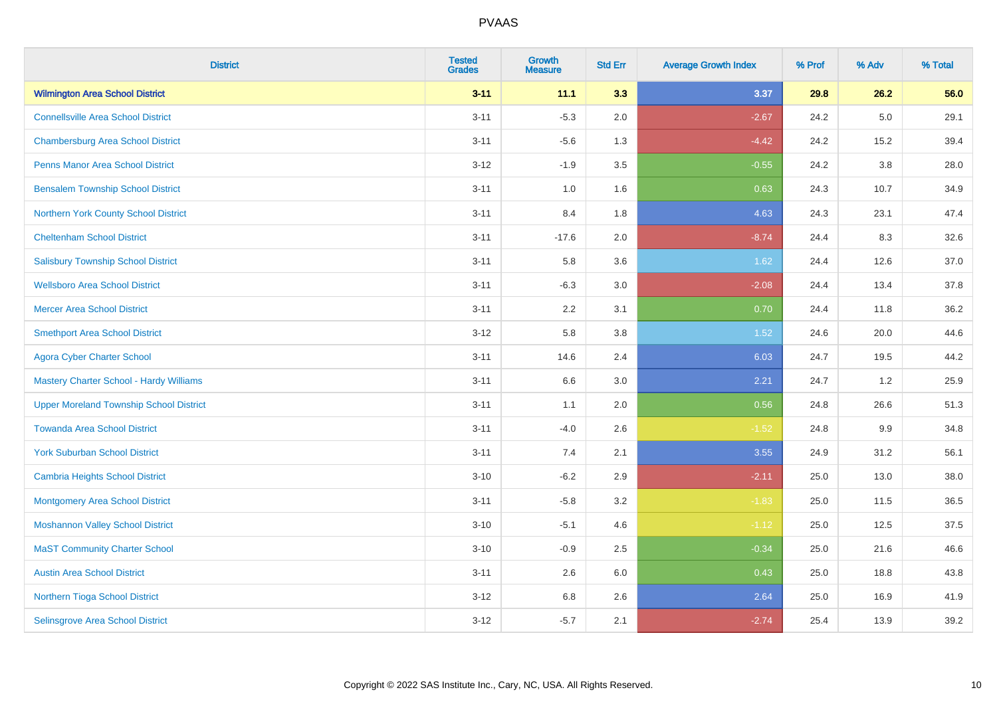| <b>District</b>                                | <b>Tested</b><br><b>Grades</b> | <b>Growth</b><br><b>Measure</b> | <b>Std Err</b> | <b>Average Growth Index</b> | % Prof | % Adv | % Total |
|------------------------------------------------|--------------------------------|---------------------------------|----------------|-----------------------------|--------|-------|---------|
| <b>Wilmington Area School District</b>         | $3 - 11$                       | 11.1                            | 3.3            | 3.37                        | 29.8   | 26.2  | 56.0    |
| <b>Connellsville Area School District</b>      | $3 - 11$                       | $-5.3$                          | 2.0            | $-2.67$                     | 24.2   | 5.0   | 29.1    |
| <b>Chambersburg Area School District</b>       | $3 - 11$                       | $-5.6$                          | 1.3            | $-4.42$                     | 24.2   | 15.2  | 39.4    |
| <b>Penns Manor Area School District</b>        | $3 - 12$                       | $-1.9$                          | 3.5            | $-0.55$                     | 24.2   | 3.8   | 28.0    |
| <b>Bensalem Township School District</b>       | $3 - 11$                       | 1.0                             | 1.6            | 0.63                        | 24.3   | 10.7  | 34.9    |
| Northern York County School District           | $3 - 11$                       | 8.4                             | 1.8            | 4.63                        | 24.3   | 23.1  | 47.4    |
| <b>Cheltenham School District</b>              | $3 - 11$                       | $-17.6$                         | 2.0            | $-8.74$                     | 24.4   | 8.3   | 32.6    |
| <b>Salisbury Township School District</b>      | $3 - 11$                       | 5.8                             | 3.6            | 1.62                        | 24.4   | 12.6  | 37.0    |
| <b>Wellsboro Area School District</b>          | $3 - 11$                       | $-6.3$                          | 3.0            | $-2.08$                     | 24.4   | 13.4  | 37.8    |
| <b>Mercer Area School District</b>             | $3 - 11$                       | 2.2                             | 3.1            | 0.70                        | 24.4   | 11.8  | 36.2    |
| <b>Smethport Area School District</b>          | $3-12$                         | 5.8                             | 3.8            | 1.52                        | 24.6   | 20.0  | 44.6    |
| <b>Agora Cyber Charter School</b>              | $3 - 11$                       | 14.6                            | 2.4            | 6.03                        | 24.7   | 19.5  | 44.2    |
| <b>Mastery Charter School - Hardy Williams</b> | $3 - 11$                       | 6.6                             | 3.0            | 2.21                        | 24.7   | 1.2   | 25.9    |
| <b>Upper Moreland Township School District</b> | $3 - 11$                       | 1.1                             | 2.0            | 0.56                        | 24.8   | 26.6  | 51.3    |
| <b>Towanda Area School District</b>            | $3 - 11$                       | $-4.0$                          | 2.6            | $-1.52$                     | 24.8   | 9.9   | 34.8    |
| <b>York Suburban School District</b>           | $3 - 11$                       | 7.4                             | 2.1            | 3.55                        | 24.9   | 31.2  | 56.1    |
| <b>Cambria Heights School District</b>         | $3 - 10$                       | $-6.2$                          | 2.9            | $-2.11$                     | 25.0   | 13.0  | 38.0    |
| <b>Montgomery Area School District</b>         | $3 - 11$                       | $-5.8$                          | 3.2            | $-1.83$                     | 25.0   | 11.5  | 36.5    |
| <b>Moshannon Valley School District</b>        | $3 - 10$                       | $-5.1$                          | 4.6            | $-1.12$                     | 25.0   | 12.5  | 37.5    |
| <b>MaST Community Charter School</b>           | $3 - 10$                       | $-0.9$                          | 2.5            | $-0.34$                     | 25.0   | 21.6  | 46.6    |
| <b>Austin Area School District</b>             | $3 - 11$                       | 2.6                             | 6.0            | 0.43                        | 25.0   | 18.8  | 43.8    |
| Northern Tioga School District                 | $3 - 12$                       | $6.8\,$                         | 2.6            | 2.64                        | 25.0   | 16.9  | 41.9    |
| Selinsgrove Area School District               | $3-12$                         | $-5.7$                          | 2.1            | $-2.74$                     | 25.4   | 13.9  | 39.2    |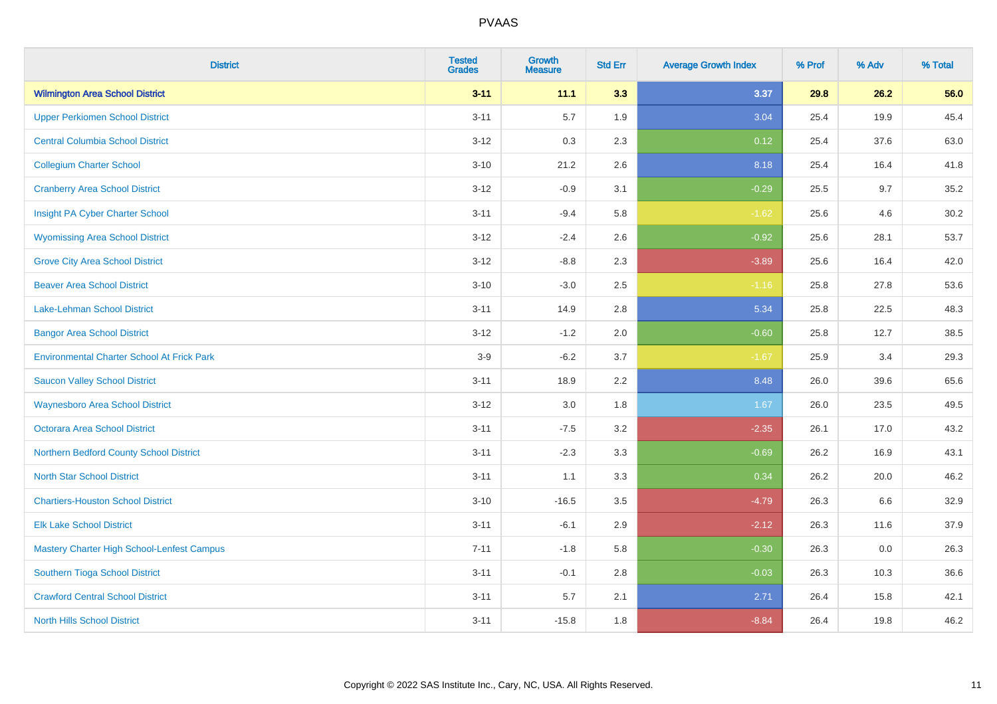| <b>District</b>                                   | <b>Tested</b><br><b>Grades</b> | <b>Growth</b><br><b>Measure</b> | <b>Std Err</b> | <b>Average Growth Index</b> | % Prof | % Adv | % Total |
|---------------------------------------------------|--------------------------------|---------------------------------|----------------|-----------------------------|--------|-------|---------|
| <b>Wilmington Area School District</b>            | $3 - 11$                       | 11.1                            | 3.3            | 3.37                        | 29.8   | 26.2  | 56.0    |
| <b>Upper Perkiomen School District</b>            | $3 - 11$                       | 5.7                             | 1.9            | 3.04                        | 25.4   | 19.9  | 45.4    |
| <b>Central Columbia School District</b>           | $3 - 12$                       | 0.3                             | 2.3            | 0.12                        | 25.4   | 37.6  | 63.0    |
| <b>Collegium Charter School</b>                   | $3 - 10$                       | 21.2                            | 2.6            | 8.18                        | 25.4   | 16.4  | 41.8    |
| <b>Cranberry Area School District</b>             | $3-12$                         | $-0.9$                          | 3.1            | $-0.29$                     | 25.5   | 9.7   | 35.2    |
| Insight PA Cyber Charter School                   | $3 - 11$                       | $-9.4$                          | 5.8            | $-1.62$                     | 25.6   | 4.6   | 30.2    |
| <b>Wyomissing Area School District</b>            | $3 - 12$                       | $-2.4$                          | 2.6            | $-0.92$                     | 25.6   | 28.1  | 53.7    |
| <b>Grove City Area School District</b>            | $3 - 12$                       | $-8.8$                          | 2.3            | $-3.89$                     | 25.6   | 16.4  | 42.0    |
| <b>Beaver Area School District</b>                | $3 - 10$                       | $-3.0$                          | 2.5            | $-1.16$                     | 25.8   | 27.8  | 53.6    |
| Lake-Lehman School District                       | $3 - 11$                       | 14.9                            | 2.8            | 5.34                        | 25.8   | 22.5  | 48.3    |
| <b>Bangor Area School District</b>                | $3 - 12$                       | $-1.2$                          | 2.0            | $-0.60$                     | 25.8   | 12.7  | 38.5    |
| <b>Environmental Charter School At Frick Park</b> | $3-9$                          | $-6.2$                          | 3.7            | $-1.67$                     | 25.9   | 3.4   | 29.3    |
| <b>Saucon Valley School District</b>              | $3 - 11$                       | 18.9                            | 2.2            | 8.48                        | 26.0   | 39.6  | 65.6    |
| <b>Waynesboro Area School District</b>            | $3 - 12$                       | $3.0\,$                         | 1.8            | 1.67                        | 26.0   | 23.5  | 49.5    |
| Octorara Area School District                     | $3 - 11$                       | $-7.5$                          | 3.2            | $-2.35$                     | 26.1   | 17.0  | 43.2    |
| Northern Bedford County School District           | $3 - 11$                       | $-2.3$                          | 3.3            | $-0.69$                     | 26.2   | 16.9  | 43.1    |
| <b>North Star School District</b>                 | $3 - 11$                       | 1.1                             | 3.3            | 0.34                        | 26.2   | 20.0  | 46.2    |
| <b>Chartiers-Houston School District</b>          | $3 - 10$                       | $-16.5$                         | 3.5            | $-4.79$                     | 26.3   | 6.6   | 32.9    |
| <b>Elk Lake School District</b>                   | $3 - 11$                       | $-6.1$                          | 2.9            | $-2.12$                     | 26.3   | 11.6  | 37.9    |
| Mastery Charter High School-Lenfest Campus        | $7 - 11$                       | $-1.8$                          | 5.8            | $-0.30$                     | 26.3   | 0.0   | 26.3    |
| Southern Tioga School District                    | $3 - 11$                       | $-0.1$                          | 2.8            | $-0.03$                     | 26.3   | 10.3  | 36.6    |
| <b>Crawford Central School District</b>           | $3 - 11$                       | 5.7                             | 2.1            | 2.71                        | 26.4   | 15.8  | 42.1    |
| <b>North Hills School District</b>                | $3 - 11$                       | $-15.8$                         | 1.8            | $-8.84$                     | 26.4   | 19.8  | 46.2    |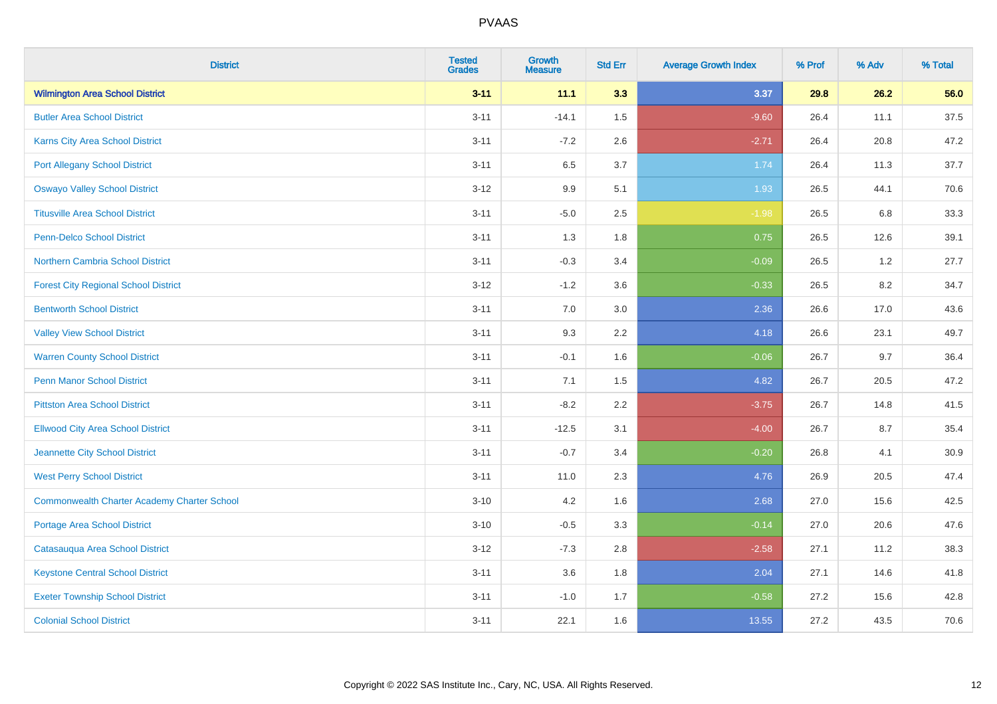| <b>District</b>                                    | <b>Tested</b><br><b>Grades</b> | <b>Growth</b><br><b>Measure</b> | <b>Std Err</b> | <b>Average Growth Index</b> | % Prof | % Adv   | % Total |
|----------------------------------------------------|--------------------------------|---------------------------------|----------------|-----------------------------|--------|---------|---------|
| <b>Wilmington Area School District</b>             | $3 - 11$                       | 11.1                            | 3.3            | 3.37                        | 29.8   | 26.2    | 56.0    |
| <b>Butler Area School District</b>                 | $3 - 11$                       | $-14.1$                         | 1.5            | $-9.60$                     | 26.4   | 11.1    | 37.5    |
| Karns City Area School District                    | $3 - 11$                       | $-7.2$                          | 2.6            | $-2.71$                     | 26.4   | 20.8    | 47.2    |
| <b>Port Allegany School District</b>               | $3 - 11$                       | 6.5                             | 3.7            | 1.74                        | 26.4   | 11.3    | 37.7    |
| <b>Oswayo Valley School District</b>               | $3-12$                         | 9.9                             | 5.1            | 1.93                        | 26.5   | 44.1    | 70.6    |
| <b>Titusville Area School District</b>             | $3 - 11$                       | $-5.0$                          | 2.5            | $-1.98$                     | 26.5   | $6.8\,$ | 33.3    |
| Penn-Delco School District                         | $3 - 11$                       | 1.3                             | 1.8            | 0.75                        | 26.5   | 12.6    | 39.1    |
| Northern Cambria School District                   | $3 - 11$                       | $-0.3$                          | 3.4            | $-0.09$                     | 26.5   | 1.2     | 27.7    |
| <b>Forest City Regional School District</b>        | $3-12$                         | $-1.2$                          | 3.6            | $-0.33$                     | 26.5   | 8.2     | 34.7    |
| <b>Bentworth School District</b>                   | $3 - 11$                       | 7.0                             | 3.0            | 2.36                        | 26.6   | 17.0    | 43.6    |
| <b>Valley View School District</b>                 | $3 - 11$                       | 9.3                             | 2.2            | 4.18                        | 26.6   | 23.1    | 49.7    |
| <b>Warren County School District</b>               | $3 - 11$                       | $-0.1$                          | 1.6            | $-0.06$                     | 26.7   | 9.7     | 36.4    |
| <b>Penn Manor School District</b>                  | $3 - 11$                       | 7.1                             | 1.5            | 4.82                        | 26.7   | 20.5    | 47.2    |
| <b>Pittston Area School District</b>               | $3 - 11$                       | $-8.2$                          | 2.2            | $-3.75$                     | 26.7   | 14.8    | 41.5    |
| <b>Ellwood City Area School District</b>           | $3 - 11$                       | $-12.5$                         | 3.1            | $-4.00$                     | 26.7   | 8.7     | 35.4    |
| Jeannette City School District                     | $3 - 11$                       | $-0.7$                          | 3.4            | $-0.20$                     | 26.8   | 4.1     | 30.9    |
| <b>West Perry School District</b>                  | $3 - 11$                       | 11.0                            | 2.3            | 4.76                        | 26.9   | 20.5    | 47.4    |
| <b>Commonwealth Charter Academy Charter School</b> | $3 - 10$                       | 4.2                             | 1.6            | 2.68                        | 27.0   | 15.6    | 42.5    |
| <b>Portage Area School District</b>                | $3 - 10$                       | $-0.5$                          | 3.3            | $-0.14$                     | 27.0   | 20.6    | 47.6    |
| Catasauqua Area School District                    | $3 - 12$                       | $-7.3$                          | 2.8            | $-2.58$                     | 27.1   | 11.2    | 38.3    |
| <b>Keystone Central School District</b>            | $3 - 11$                       | 3.6                             | 1.8            | 2.04                        | 27.1   | 14.6    | 41.8    |
| <b>Exeter Township School District</b>             | $3 - 11$                       | $-1.0$                          | 1.7            | $-0.58$                     | 27.2   | 15.6    | 42.8    |
| <b>Colonial School District</b>                    | $3 - 11$                       | 22.1                            | 1.6            | 13.55                       | 27.2   | 43.5    | 70.6    |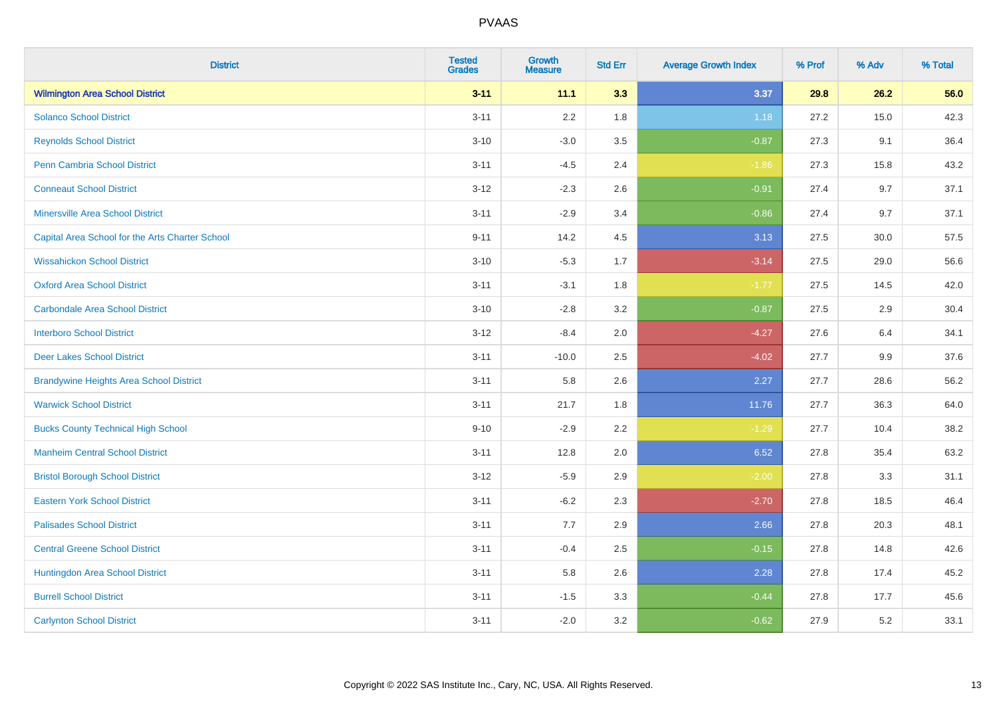| <b>District</b>                                 | <b>Tested</b><br><b>Grades</b> | <b>Growth</b><br><b>Measure</b> | <b>Std Err</b> | <b>Average Growth Index</b> | % Prof | % Adv | % Total |
|-------------------------------------------------|--------------------------------|---------------------------------|----------------|-----------------------------|--------|-------|---------|
| <b>Wilmington Area School District</b>          | $3 - 11$                       | 11.1                            | 3.3            | 3.37                        | 29.8   | 26.2  | 56.0    |
| <b>Solanco School District</b>                  | $3 - 11$                       | 2.2                             | 1.8            | 1.18                        | 27.2   | 15.0  | 42.3    |
| <b>Reynolds School District</b>                 | $3 - 10$                       | $-3.0$                          | 3.5            | $-0.87$                     | 27.3   | 9.1   | 36.4    |
| Penn Cambria School District                    | $3 - 11$                       | $-4.5$                          | 2.4            | $-1.86$                     | 27.3   | 15.8  | 43.2    |
| <b>Conneaut School District</b>                 | $3-12$                         | $-2.3$                          | 2.6            | $-0.91$                     | 27.4   | 9.7   | 37.1    |
| <b>Minersville Area School District</b>         | $3 - 11$                       | $-2.9$                          | 3.4            | $-0.86$                     | 27.4   | 9.7   | 37.1    |
| Capital Area School for the Arts Charter School | $9 - 11$                       | 14.2                            | 4.5            | 3.13                        | 27.5   | 30.0  | 57.5    |
| <b>Wissahickon School District</b>              | $3 - 10$                       | $-5.3$                          | 1.7            | $-3.14$                     | 27.5   | 29.0  | 56.6    |
| <b>Oxford Area School District</b>              | $3 - 11$                       | $-3.1$                          | 1.8            | $-1.77$                     | 27.5   | 14.5  | 42.0    |
| <b>Carbondale Area School District</b>          | $3 - 10$                       | $-2.8$                          | 3.2            | $-0.87$                     | 27.5   | 2.9   | 30.4    |
| <b>Interboro School District</b>                | $3-12$                         | $-8.4$                          | 2.0            | $-4.27$                     | 27.6   | 6.4   | 34.1    |
| <b>Deer Lakes School District</b>               | $3 - 11$                       | $-10.0$                         | 2.5            | $-4.02$                     | 27.7   | 9.9   | 37.6    |
| <b>Brandywine Heights Area School District</b>  | $3 - 11$                       | 5.8                             | 2.6            | 2.27                        | 27.7   | 28.6  | 56.2    |
| <b>Warwick School District</b>                  | $3 - 11$                       | 21.7                            | 1.8            | 11.76                       | 27.7   | 36.3  | 64.0    |
| <b>Bucks County Technical High School</b>       | $9 - 10$                       | $-2.9$                          | 2.2            | $-1.29$                     | 27.7   | 10.4  | 38.2    |
| <b>Manheim Central School District</b>          | $3 - 11$                       | 12.8                            | 2.0            | 6.52                        | 27.8   | 35.4  | 63.2    |
| <b>Bristol Borough School District</b>          | $3-12$                         | $-5.9$                          | 2.9            | $-2.00$                     | 27.8   | 3.3   | 31.1    |
| <b>Eastern York School District</b>             | $3 - 11$                       | $-6.2$                          | 2.3            | $-2.70$                     | 27.8   | 18.5  | 46.4    |
| <b>Palisades School District</b>                | $3 - 11$                       | 7.7                             | 2.9            | 2.66                        | 27.8   | 20.3  | 48.1    |
| <b>Central Greene School District</b>           | $3 - 11$                       | $-0.4$                          | 2.5            | $-0.15$                     | 27.8   | 14.8  | 42.6    |
| Huntingdon Area School District                 | $3 - 11$                       | 5.8                             | 2.6            | 2.28                        | 27.8   | 17.4  | 45.2    |
| <b>Burrell School District</b>                  | $3 - 11$                       | $-1.5$                          | 3.3            | $-0.44$                     | 27.8   | 17.7  | 45.6    |
| <b>Carlynton School District</b>                | $3 - 11$                       | $-2.0$                          | 3.2            | $-0.62$                     | 27.9   | 5.2   | 33.1    |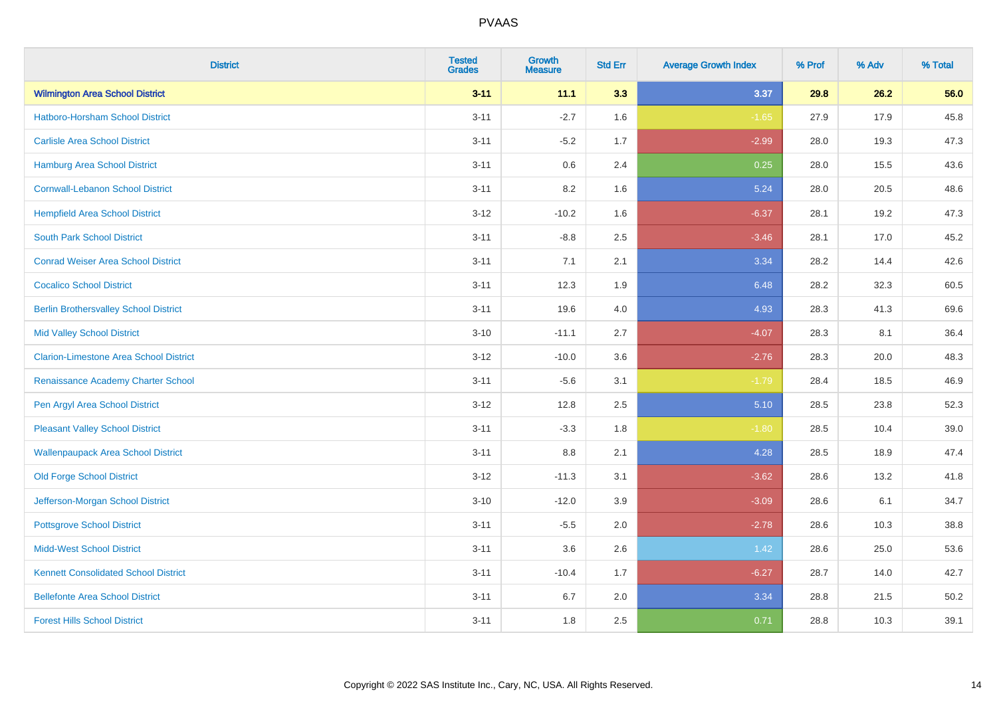| <b>District</b>                               | <b>Tested</b><br><b>Grades</b> | <b>Growth</b><br><b>Measure</b> | <b>Std Err</b> | <b>Average Growth Index</b> | % Prof | % Adv | % Total |
|-----------------------------------------------|--------------------------------|---------------------------------|----------------|-----------------------------|--------|-------|---------|
| <b>Wilmington Area School District</b>        | $3 - 11$                       | 11.1                            | 3.3            | 3.37                        | 29.8   | 26.2  | 56.0    |
| <b>Hatboro-Horsham School District</b>        | $3 - 11$                       | $-2.7$                          | 1.6            | $-1.65$                     | 27.9   | 17.9  | 45.8    |
| <b>Carlisle Area School District</b>          | $3 - 11$                       | $-5.2$                          | 1.7            | $-2.99$                     | 28.0   | 19.3  | 47.3    |
| Hamburg Area School District                  | $3 - 11$                       | 0.6                             | 2.4            | 0.25                        | 28.0   | 15.5  | 43.6    |
| <b>Cornwall-Lebanon School District</b>       | $3 - 11$                       | 8.2                             | 1.6            | 5.24                        | 28.0   | 20.5  | 48.6    |
| <b>Hempfield Area School District</b>         | $3 - 12$                       | $-10.2$                         | 1.6            | $-6.37$                     | 28.1   | 19.2  | 47.3    |
| <b>South Park School District</b>             | $3 - 11$                       | $-8.8$                          | 2.5            | $-3.46$                     | 28.1   | 17.0  | 45.2    |
| <b>Conrad Weiser Area School District</b>     | $3 - 11$                       | 7.1                             | 2.1            | 3.34                        | 28.2   | 14.4  | 42.6    |
| <b>Cocalico School District</b>               | $3 - 11$                       | 12.3                            | 1.9            | 6.48                        | 28.2   | 32.3  | 60.5    |
| <b>Berlin Brothersvalley School District</b>  | $3 - 11$                       | 19.6                            | 4.0            | 4.93                        | 28.3   | 41.3  | 69.6    |
| <b>Mid Valley School District</b>             | $3 - 10$                       | $-11.1$                         | 2.7            | $-4.07$                     | 28.3   | 8.1   | 36.4    |
| <b>Clarion-Limestone Area School District</b> | $3 - 12$                       | $-10.0$                         | 3.6            | $-2.76$                     | 28.3   | 20.0  | 48.3    |
| Renaissance Academy Charter School            | $3 - 11$                       | $-5.6$                          | 3.1            | $-1.79$                     | 28.4   | 18.5  | 46.9    |
| Pen Argyl Area School District                | $3 - 12$                       | 12.8                            | 2.5            | 5.10                        | 28.5   | 23.8  | 52.3    |
| <b>Pleasant Valley School District</b>        | $3 - 11$                       | $-3.3$                          | 1.8            | $-1.80$                     | 28.5   | 10.4  | 39.0    |
| <b>Wallenpaupack Area School District</b>     | $3 - 11$                       | $8.8\,$                         | 2.1            | 4.28                        | 28.5   | 18.9  | 47.4    |
| <b>Old Forge School District</b>              | $3 - 12$                       | $-11.3$                         | 3.1            | $-3.62$                     | 28.6   | 13.2  | 41.8    |
| Jefferson-Morgan School District              | $3 - 10$                       | $-12.0$                         | 3.9            | $-3.09$                     | 28.6   | 6.1   | 34.7    |
| <b>Pottsgrove School District</b>             | $3 - 11$                       | $-5.5$                          | 2.0            | $-2.78$                     | 28.6   | 10.3  | 38.8    |
| <b>Midd-West School District</b>              | $3 - 11$                       | 3.6                             | 2.6            | 1.42                        | 28.6   | 25.0  | 53.6    |
| <b>Kennett Consolidated School District</b>   | $3 - 11$                       | $-10.4$                         | 1.7            | $-6.27$                     | 28.7   | 14.0  | 42.7    |
| <b>Bellefonte Area School District</b>        | $3 - 11$                       | 6.7                             | 2.0            | 3.34                        | 28.8   | 21.5  | 50.2    |
| <b>Forest Hills School District</b>           | $3 - 11$                       | 1.8                             | 2.5            | 0.71                        | 28.8   | 10.3  | 39.1    |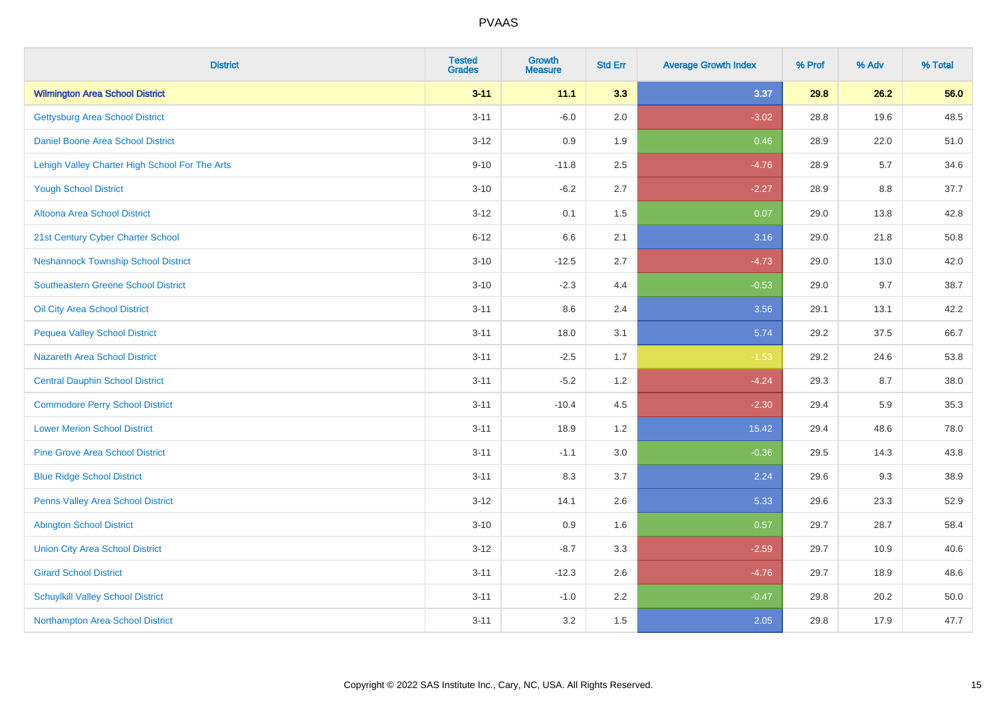| <b>District</b>                                | <b>Tested</b><br><b>Grades</b> | <b>Growth</b><br><b>Measure</b> | <b>Std Err</b> | <b>Average Growth Index</b> | % Prof | % Adv | % Total |
|------------------------------------------------|--------------------------------|---------------------------------|----------------|-----------------------------|--------|-------|---------|
| <b>Wilmington Area School District</b>         | $3 - 11$                       | 11.1                            | 3.3            | 3.37                        | 29.8   | 26.2  | 56.0    |
| <b>Gettysburg Area School District</b>         | $3 - 11$                       | $-6.0$                          | 2.0            | $-3.02$                     | 28.8   | 19.6  | 48.5    |
| Daniel Boone Area School District              | $3 - 12$                       | 0.9                             | 1.9            | 0.46                        | 28.9   | 22.0  | 51.0    |
| Lehigh Valley Charter High School For The Arts | $9 - 10$                       | $-11.8$                         | 2.5            | $-4.76$                     | 28.9   | 5.7   | 34.6    |
| <b>Yough School District</b>                   | $3 - 10$                       | $-6.2$                          | 2.7            | $-2.27$                     | 28.9   | 8.8   | 37.7    |
| <b>Altoona Area School District</b>            | $3 - 12$                       | 0.1                             | 1.5            | 0.07                        | 29.0   | 13.8  | 42.8    |
| 21st Century Cyber Charter School              | $6 - 12$                       | 6.6                             | 2.1            | 3.16                        | 29.0   | 21.8  | 50.8    |
| <b>Neshannock Township School District</b>     | $3 - 10$                       | $-12.5$                         | 2.7            | $-4.73$                     | 29.0   | 13.0  | 42.0    |
| <b>Southeastern Greene School District</b>     | $3 - 10$                       | $-2.3$                          | 4.4            | $-0.53$                     | 29.0   | 9.7   | 38.7    |
| Oil City Area School District                  | $3 - 11$                       | 8.6                             | 2.4            | 3.56                        | 29.1   | 13.1  | 42.2    |
| <b>Pequea Valley School District</b>           | $3 - 11$                       | 18.0                            | 3.1            | 5.74                        | 29.2   | 37.5  | 66.7    |
| <b>Nazareth Area School District</b>           | $3 - 11$                       | $-2.5$                          | 1.7            | $-1.53$                     | 29.2   | 24.6  | 53.8    |
| <b>Central Dauphin School District</b>         | $3 - 11$                       | $-5.2$                          | 1.2            | $-4.24$                     | 29.3   | 8.7   | 38.0    |
| <b>Commodore Perry School District</b>         | $3 - 11$                       | $-10.4$                         | 4.5            | $-2.30$                     | 29.4   | 5.9   | 35.3    |
| <b>Lower Merion School District</b>            | $3 - 11$                       | 18.9                            | 1.2            | 15.42                       | 29.4   | 48.6  | 78.0    |
| <b>Pine Grove Area School District</b>         | $3 - 11$                       | $-1.1$                          | 3.0            | $-0.36$                     | 29.5   | 14.3  | 43.8    |
| <b>Blue Ridge School District</b>              | $3 - 11$                       | 8.3                             | 3.7            | 2.24                        | 29.6   | 9.3   | 38.9    |
| Penns Valley Area School District              | $3 - 12$                       | 14.1                            | 2.6            | 5.33                        | 29.6   | 23.3  | 52.9    |
| <b>Abington School District</b>                | $3 - 10$                       | 0.9                             | 1.6            | 0.57                        | 29.7   | 28.7  | 58.4    |
| <b>Union City Area School District</b>         | $3 - 12$                       | $-8.7$                          | 3.3            | $-2.59$                     | 29.7   | 10.9  | 40.6    |
| <b>Girard School District</b>                  | $3 - 11$                       | $-12.3$                         | 2.6            | $-4.76$                     | 29.7   | 18.9  | 48.6    |
| <b>Schuylkill Valley School District</b>       | $3 - 11$                       | $-1.0$                          | 2.2            | $-0.47$                     | 29.8   | 20.2  | 50.0    |
| Northampton Area School District               | $3 - 11$                       | 3.2                             | 1.5            | 2.05                        | 29.8   | 17.9  | 47.7    |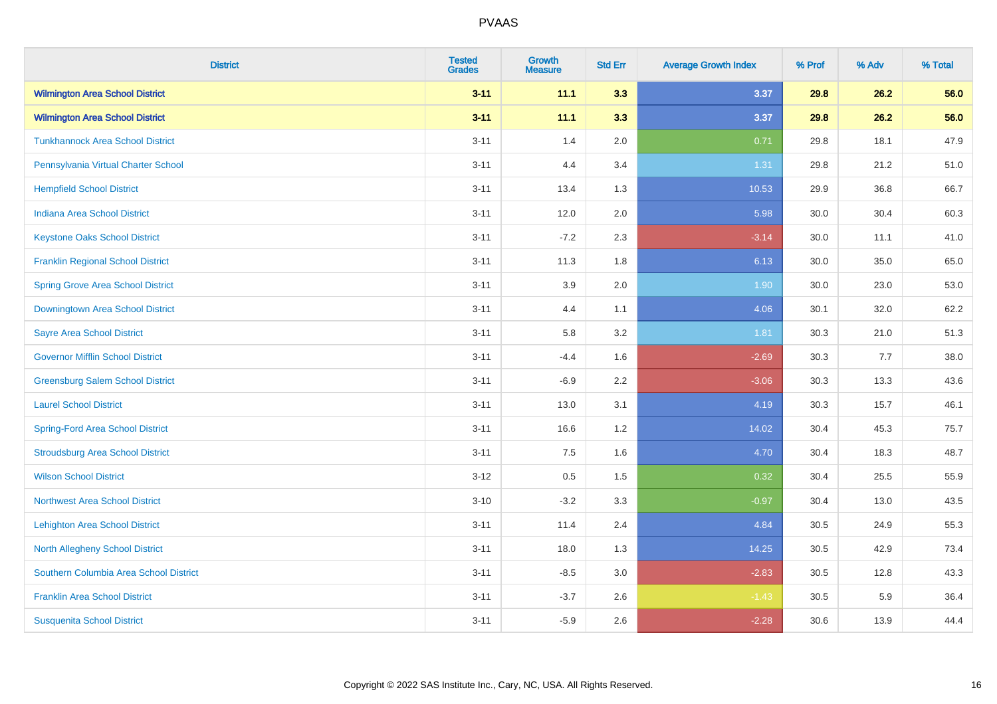| <b>District</b>                          | <b>Tested</b><br><b>Grades</b> | <b>Growth</b><br><b>Measure</b> | <b>Std Err</b> | <b>Average Growth Index</b> | % Prof | % Adv | % Total |
|------------------------------------------|--------------------------------|---------------------------------|----------------|-----------------------------|--------|-------|---------|
| <b>Wilmington Area School District</b>   | $3 - 11$                       | 11.1                            | 3.3            | 3.37                        | 29.8   | 26.2  | 56.0    |
| <b>Wilmington Area School District</b>   | $3 - 11$                       | 11.1                            | 3.3            | 3.37                        | 29.8   | 26.2  | 56.0    |
| <b>Tunkhannock Area School District</b>  | $3 - 11$                       | 1.4                             | 2.0            | 0.71                        | 29.8   | 18.1  | 47.9    |
| Pennsylvania Virtual Charter School      | $3 - 11$                       | 4.4                             | 3.4            | 1.31                        | 29.8   | 21.2  | 51.0    |
| <b>Hempfield School District</b>         | $3 - 11$                       | 13.4                            | 1.3            | 10.53                       | 29.9   | 36.8  | 66.7    |
| <b>Indiana Area School District</b>      | $3 - 11$                       | 12.0                            | 2.0            | 5.98                        | 30.0   | 30.4  | 60.3    |
| <b>Keystone Oaks School District</b>     | $3 - 11$                       | $-7.2$                          | 2.3            | $-3.14$                     | 30.0   | 11.1  | 41.0    |
| <b>Franklin Regional School District</b> | $3 - 11$                       | 11.3                            | 1.8            | 6.13                        | 30.0   | 35.0  | 65.0    |
| <b>Spring Grove Area School District</b> | $3 - 11$                       | 3.9                             | 2.0            | 1.90                        | 30.0   | 23.0  | 53.0    |
| Downingtown Area School District         | $3 - 11$                       | 4.4                             | 1.1            | 4.06                        | 30.1   | 32.0  | 62.2    |
| <b>Sayre Area School District</b>        | $3 - 11$                       | 5.8                             | 3.2            | 1.81                        | 30.3   | 21.0  | 51.3    |
| <b>Governor Mifflin School District</b>  | $3 - 11$                       | $-4.4$                          | 1.6            | $-2.69$                     | 30.3   | 7.7   | 38.0    |
| <b>Greensburg Salem School District</b>  | $3 - 11$                       | $-6.9$                          | 2.2            | $-3.06$                     | 30.3   | 13.3  | 43.6    |
| <b>Laurel School District</b>            | $3 - 11$                       | 13.0                            | 3.1            | 4.19                        | 30.3   | 15.7  | 46.1    |
| <b>Spring-Ford Area School District</b>  | $3 - 11$                       | 16.6                            | 1.2            | 14.02                       | 30.4   | 45.3  | 75.7    |
| <b>Stroudsburg Area School District</b>  | $3 - 11$                       | 7.5                             | 1.6            | 4.70                        | 30.4   | 18.3  | 48.7    |
| <b>Wilson School District</b>            | $3 - 12$                       | 0.5                             | 1.5            | 0.32                        | 30.4   | 25.5  | 55.9    |
| <b>Northwest Area School District</b>    | $3 - 10$                       | $-3.2$                          | 3.3            | $-0.97$                     | 30.4   | 13.0  | 43.5    |
| <b>Lehighton Area School District</b>    | $3 - 11$                       | 11.4                            | 2.4            | 4.84                        | 30.5   | 24.9  | 55.3    |
| <b>North Allegheny School District</b>   | $3 - 11$                       | 18.0                            | 1.3            | 14.25                       | 30.5   | 42.9  | 73.4    |
| Southern Columbia Area School District   | $3 - 11$                       | $-8.5$                          | 3.0            | $-2.83$                     | 30.5   | 12.8  | 43.3    |
| <b>Franklin Area School District</b>     | $3 - 11$                       | $-3.7$                          | 2.6            | $-1.43$                     | 30.5   | 5.9   | 36.4    |
| <b>Susquenita School District</b>        | $3 - 11$                       | $-5.9$                          | 2.6            | $-2.28$                     | 30.6   | 13.9  | 44.4    |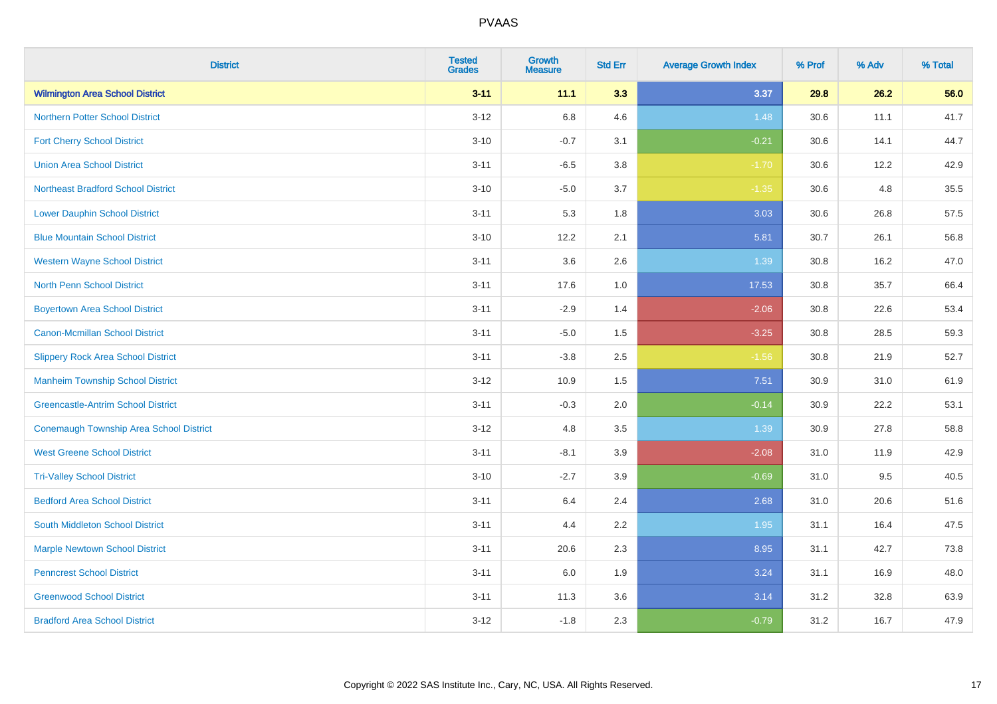| <b>District</b>                                | <b>Tested</b><br><b>Grades</b> | <b>Growth</b><br><b>Measure</b> | <b>Std Err</b> | <b>Average Growth Index</b> | % Prof | % Adv | % Total |
|------------------------------------------------|--------------------------------|---------------------------------|----------------|-----------------------------|--------|-------|---------|
| <b>Wilmington Area School District</b>         | $3 - 11$                       | 11.1                            | 3.3            | 3.37                        | 29.8   | 26.2  | 56.0    |
| <b>Northern Potter School District</b>         | $3-12$                         | 6.8                             | 4.6            | 1.48                        | 30.6   | 11.1  | 41.7    |
| <b>Fort Cherry School District</b>             | $3 - 10$                       | $-0.7$                          | 3.1            | $-0.21$                     | 30.6   | 14.1  | 44.7    |
| <b>Union Area School District</b>              | $3 - 11$                       | $-6.5$                          | 3.8            | $-1.70$                     | 30.6   | 12.2  | 42.9    |
| <b>Northeast Bradford School District</b>      | $3 - 10$                       | $-5.0$                          | 3.7            | $-1.35$                     | 30.6   | 4.8   | 35.5    |
| <b>Lower Dauphin School District</b>           | $3 - 11$                       | 5.3                             | 1.8            | 3.03                        | 30.6   | 26.8  | 57.5    |
| <b>Blue Mountain School District</b>           | $3 - 10$                       | 12.2                            | 2.1            | 5.81                        | 30.7   | 26.1  | 56.8    |
| <b>Western Wayne School District</b>           | $3 - 11$                       | 3.6                             | 2.6            | 1.39                        | 30.8   | 16.2  | 47.0    |
| <b>North Penn School District</b>              | $3 - 11$                       | 17.6                            | 1.0            | 17.53                       | 30.8   | 35.7  | 66.4    |
| <b>Boyertown Area School District</b>          | $3 - 11$                       | $-2.9$                          | 1.4            | $-2.06$                     | 30.8   | 22.6  | 53.4    |
| <b>Canon-Mcmillan School District</b>          | $3 - 11$                       | $-5.0$                          | 1.5            | $-3.25$                     | 30.8   | 28.5  | 59.3    |
| <b>Slippery Rock Area School District</b>      | $3 - 11$                       | $-3.8$                          | 2.5            | $-1.56$                     | 30.8   | 21.9  | 52.7    |
| <b>Manheim Township School District</b>        | $3-12$                         | 10.9                            | 1.5            | 7.51                        | 30.9   | 31.0  | 61.9    |
| <b>Greencastle-Antrim School District</b>      | $3 - 11$                       | $-0.3$                          | 2.0            | $-0.14$                     | 30.9   | 22.2  | 53.1    |
| <b>Conemaugh Township Area School District</b> | $3 - 12$                       | 4.8                             | 3.5            | 1.39                        | 30.9   | 27.8  | 58.8    |
| <b>West Greene School District</b>             | $3 - 11$                       | $-8.1$                          | 3.9            | $-2.08$                     | 31.0   | 11.9  | 42.9    |
| <b>Tri-Valley School District</b>              | $3 - 10$                       | $-2.7$                          | 3.9            | $-0.69$                     | 31.0   | 9.5   | 40.5    |
| <b>Bedford Area School District</b>            | $3 - 11$                       | 6.4                             | 2.4            | 2.68                        | 31.0   | 20.6  | 51.6    |
| <b>South Middleton School District</b>         | $3 - 11$                       | 4.4                             | 2.2            | 1.95                        | 31.1   | 16.4  | 47.5    |
| <b>Marple Newtown School District</b>          | $3 - 11$                       | 20.6                            | 2.3            | 8.95                        | 31.1   | 42.7  | 73.8    |
| <b>Penncrest School District</b>               | $3 - 11$                       | 6.0                             | 1.9            | 3.24                        | 31.1   | 16.9  | 48.0    |
| <b>Greenwood School District</b>               | $3 - 11$                       | 11.3                            | 3.6            | 3.14                        | 31.2   | 32.8  | 63.9    |
| <b>Bradford Area School District</b>           | $3 - 12$                       | $-1.8$                          | 2.3            | $-0.79$                     | 31.2   | 16.7  | 47.9    |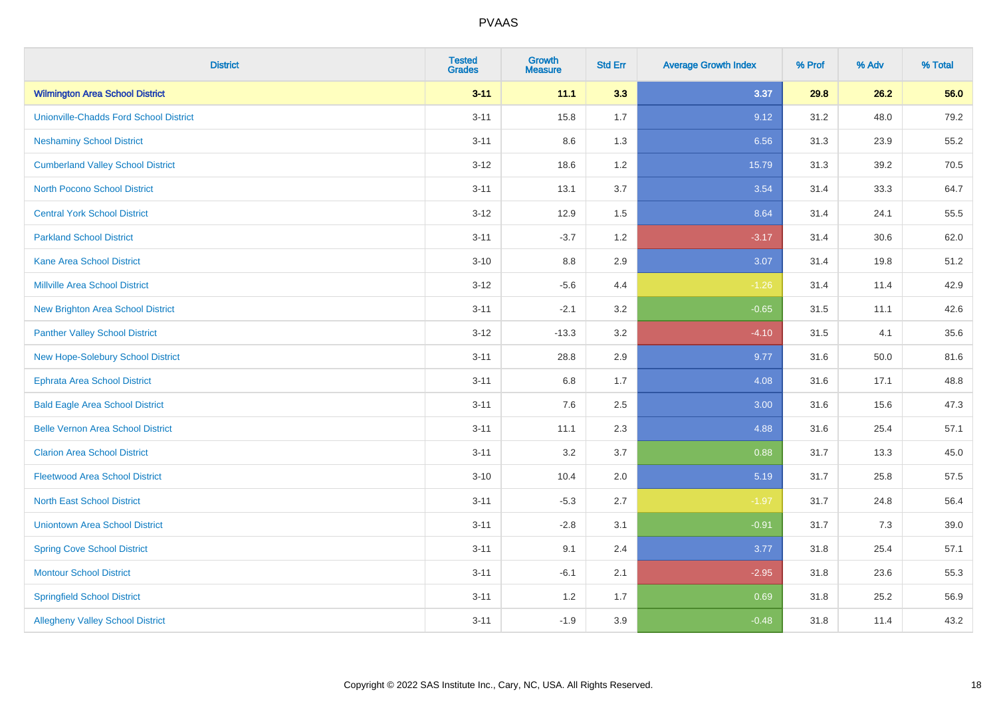| <b>District</b>                               | <b>Tested</b><br><b>Grades</b> | <b>Growth</b><br><b>Measure</b> | <b>Std Err</b> | <b>Average Growth Index</b> | % Prof | % Adv | % Total |
|-----------------------------------------------|--------------------------------|---------------------------------|----------------|-----------------------------|--------|-------|---------|
| <b>Wilmington Area School District</b>        | $3 - 11$                       | 11.1                            | 3.3            | 3.37                        | 29.8   | 26.2  | 56.0    |
| <b>Unionville-Chadds Ford School District</b> | $3 - 11$                       | 15.8                            | 1.7            | 9.12                        | 31.2   | 48.0  | 79.2    |
| <b>Neshaminy School District</b>              | $3 - 11$                       | 8.6                             | 1.3            | 6.56                        | 31.3   | 23.9  | 55.2    |
| <b>Cumberland Valley School District</b>      | $3 - 12$                       | 18.6                            | 1.2            | 15.79                       | 31.3   | 39.2  | 70.5    |
| <b>North Pocono School District</b>           | $3 - 11$                       | 13.1                            | 3.7            | 3.54                        | 31.4   | 33.3  | 64.7    |
| <b>Central York School District</b>           | $3 - 12$                       | 12.9                            | 1.5            | 8.64                        | 31.4   | 24.1  | 55.5    |
| <b>Parkland School District</b>               | $3 - 11$                       | $-3.7$                          | 1.2            | $-3.17$                     | 31.4   | 30.6  | 62.0    |
| <b>Kane Area School District</b>              | $3 - 10$                       | $8.8\,$                         | 2.9            | 3.07                        | 31.4   | 19.8  | 51.2    |
| <b>Millville Area School District</b>         | $3 - 12$                       | $-5.6$                          | 4.4            | $-1.26$                     | 31.4   | 11.4  | 42.9    |
| <b>New Brighton Area School District</b>      | $3 - 11$                       | $-2.1$                          | 3.2            | $-0.65$                     | 31.5   | 11.1  | 42.6    |
| <b>Panther Valley School District</b>         | $3 - 12$                       | $-13.3$                         | 3.2            | $-4.10$                     | 31.5   | 4.1   | 35.6    |
| New Hope-Solebury School District             | $3 - 11$                       | 28.8                            | 2.9            | 9.77                        | 31.6   | 50.0  | 81.6    |
| <b>Ephrata Area School District</b>           | $3 - 11$                       | $6.8\,$                         | 1.7            | 4.08                        | 31.6   | 17.1  | 48.8    |
| <b>Bald Eagle Area School District</b>        | $3 - 11$                       | 7.6                             | 2.5            | 3.00                        | 31.6   | 15.6  | 47.3    |
| <b>Belle Vernon Area School District</b>      | $3 - 11$                       | 11.1                            | 2.3            | 4.88                        | 31.6   | 25.4  | 57.1    |
| <b>Clarion Area School District</b>           | $3 - 11$                       | 3.2                             | 3.7            | 0.88                        | 31.7   | 13.3  | 45.0    |
| <b>Fleetwood Area School District</b>         | $3 - 10$                       | 10.4                            | 2.0            | 5.19                        | 31.7   | 25.8  | 57.5    |
| <b>North East School District</b>             | $3 - 11$                       | $-5.3$                          | 2.7            | $-1.97$                     | 31.7   | 24.8  | 56.4    |
| <b>Uniontown Area School District</b>         | $3 - 11$                       | $-2.8$                          | 3.1            | $-0.91$                     | 31.7   | 7.3   | 39.0    |
| <b>Spring Cove School District</b>            | $3 - 11$                       | 9.1                             | 2.4            | 3.77                        | 31.8   | 25.4  | 57.1    |
| <b>Montour School District</b>                | $3 - 11$                       | $-6.1$                          | 2.1            | $-2.95$                     | 31.8   | 23.6  | 55.3    |
| <b>Springfield School District</b>            | $3 - 11$                       | 1.2                             | 1.7            | 0.69                        | 31.8   | 25.2  | 56.9    |
| <b>Allegheny Valley School District</b>       | $3 - 11$                       | $-1.9$                          | 3.9            | $-0.48$                     | 31.8   | 11.4  | 43.2    |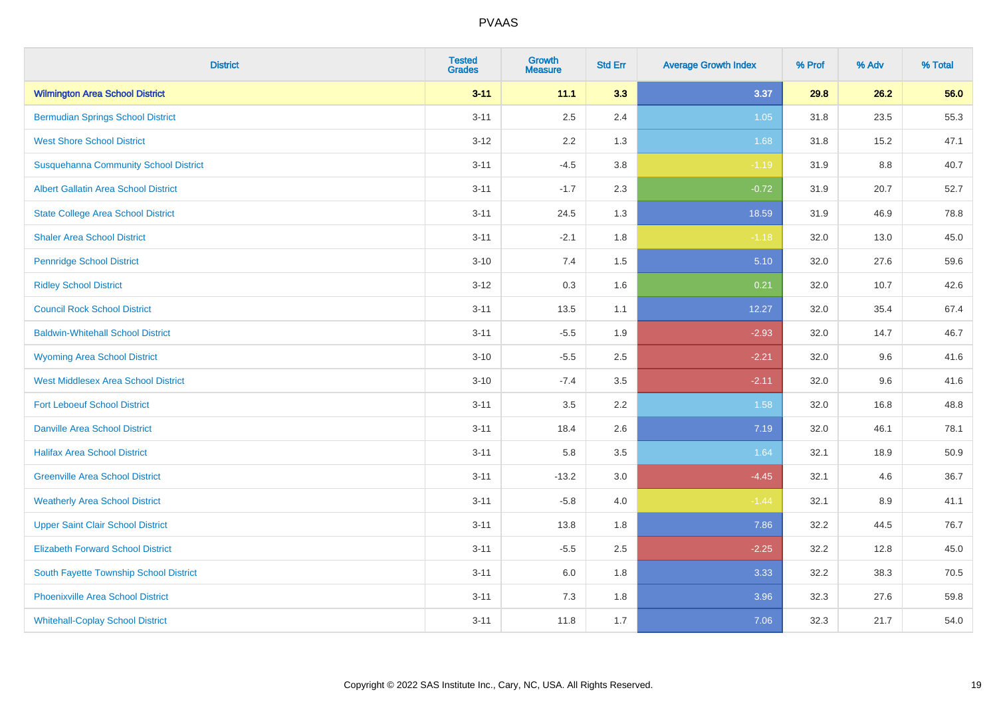| <b>District</b>                              | <b>Tested</b><br><b>Grades</b> | <b>Growth</b><br><b>Measure</b> | <b>Std Err</b> | <b>Average Growth Index</b> | % Prof | % Adv   | % Total |
|----------------------------------------------|--------------------------------|---------------------------------|----------------|-----------------------------|--------|---------|---------|
| <b>Wilmington Area School District</b>       | $3 - 11$                       | 11.1                            | 3.3            | 3.37                        | 29.8   | 26.2    | 56.0    |
| <b>Bermudian Springs School District</b>     | $3 - 11$                       | 2.5                             | 2.4            | $1.05$                      | 31.8   | 23.5    | 55.3    |
| <b>West Shore School District</b>            | $3 - 12$                       | 2.2                             | 1.3            | 1.68                        | 31.8   | 15.2    | 47.1    |
| <b>Susquehanna Community School District</b> | $3 - 11$                       | $-4.5$                          | 3.8            | $-1.19$                     | 31.9   | $8.8\,$ | 40.7    |
| Albert Gallatin Area School District         | $3 - 11$                       | $-1.7$                          | 2.3            | $-0.72$                     | 31.9   | 20.7    | 52.7    |
| <b>State College Area School District</b>    | $3 - 11$                       | 24.5                            | 1.3            | 18.59                       | 31.9   | 46.9    | 78.8    |
| <b>Shaler Area School District</b>           | $3 - 11$                       | $-2.1$                          | 1.8            | $-1.18$                     | 32.0   | 13.0    | 45.0    |
| <b>Pennridge School District</b>             | $3 - 10$                       | 7.4                             | 1.5            | 5.10                        | 32.0   | 27.6    | 59.6    |
| <b>Ridley School District</b>                | $3 - 12$                       | 0.3                             | 1.6            | 0.21                        | 32.0   | 10.7    | 42.6    |
| <b>Council Rock School District</b>          | $3 - 11$                       | 13.5                            | 1.1            | 12.27                       | 32.0   | 35.4    | 67.4    |
| <b>Baldwin-Whitehall School District</b>     | $3 - 11$                       | $-5.5$                          | 1.9            | $-2.93$                     | 32.0   | 14.7    | 46.7    |
| <b>Wyoming Area School District</b>          | $3 - 10$                       | $-5.5$                          | 2.5            | $-2.21$                     | 32.0   | 9.6     | 41.6    |
| <b>West Middlesex Area School District</b>   | $3 - 10$                       | $-7.4$                          | 3.5            | $-2.11$                     | 32.0   | 9.6     | 41.6    |
| <b>Fort Leboeuf School District</b>          | $3 - 11$                       | 3.5                             | 2.2            | 1.58                        | 32.0   | 16.8    | 48.8    |
| <b>Danville Area School District</b>         | $3 - 11$                       | 18.4                            | 2.6            | 7.19                        | 32.0   | 46.1    | 78.1    |
| <b>Halifax Area School District</b>          | $3 - 11$                       | 5.8                             | 3.5            | 1.64                        | 32.1   | 18.9    | 50.9    |
| <b>Greenville Area School District</b>       | $3 - 11$                       | $-13.2$                         | 3.0            | $-4.45$                     | 32.1   | 4.6     | 36.7    |
| <b>Weatherly Area School District</b>        | $3 - 11$                       | $-5.8$                          | 4.0            | $-1.44$                     | 32.1   | 8.9     | 41.1    |
| <b>Upper Saint Clair School District</b>     | $3 - 11$                       | 13.8                            | 1.8            | 7.86                        | 32.2   | 44.5    | 76.7    |
| <b>Elizabeth Forward School District</b>     | $3 - 11$                       | $-5.5$                          | 2.5            | $-2.25$                     | 32.2   | 12.8    | 45.0    |
| South Fayette Township School District       | $3 - 11$                       | 6.0                             | 1.8            | 3.33                        | 32.2   | 38.3    | 70.5    |
| <b>Phoenixville Area School District</b>     | $3 - 11$                       | 7.3                             | 1.8            | 3.96                        | 32.3   | 27.6    | 59.8    |
| <b>Whitehall-Coplay School District</b>      | $3 - 11$                       | 11.8                            | 1.7            | 7.06                        | 32.3   | 21.7    | 54.0    |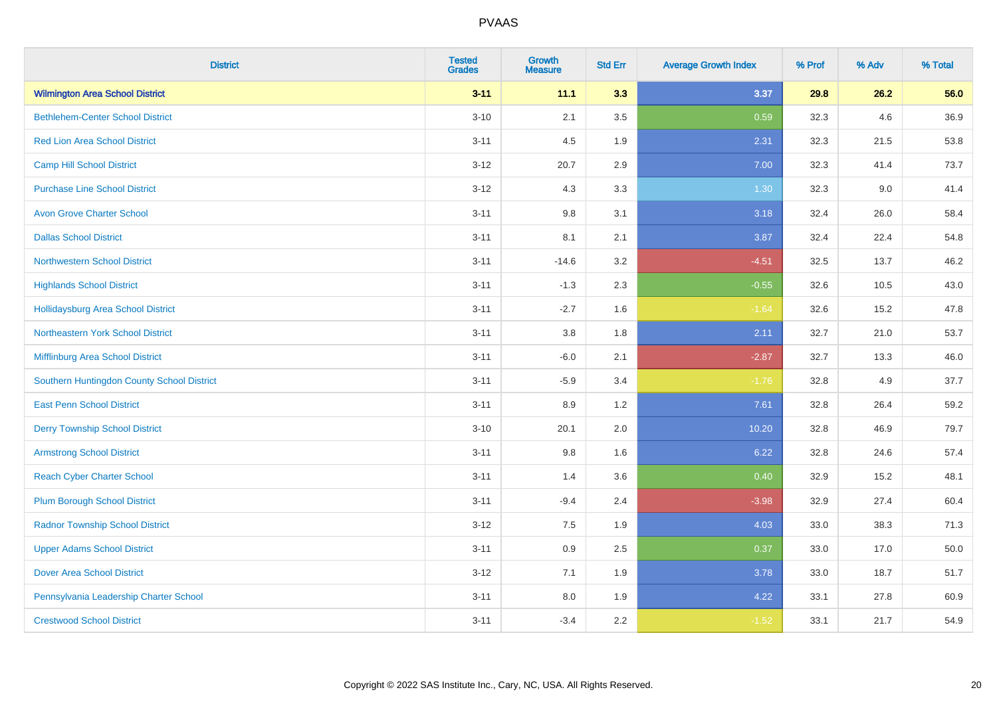| <b>District</b>                            | <b>Tested</b><br><b>Grades</b> | <b>Growth</b><br><b>Measure</b> | <b>Std Err</b> | <b>Average Growth Index</b> | % Prof | % Adv | % Total |
|--------------------------------------------|--------------------------------|---------------------------------|----------------|-----------------------------|--------|-------|---------|
| <b>Wilmington Area School District</b>     | $3 - 11$                       | 11.1                            | 3.3            | 3.37                        | 29.8   | 26.2  | 56.0    |
| <b>Bethlehem-Center School District</b>    | $3 - 10$                       | 2.1                             | 3.5            | 0.59                        | 32.3   | 4.6   | 36.9    |
| <b>Red Lion Area School District</b>       | $3 - 11$                       | 4.5                             | 1.9            | 2.31                        | 32.3   | 21.5  | 53.8    |
| <b>Camp Hill School District</b>           | $3 - 12$                       | 20.7                            | 2.9            | 7.00                        | 32.3   | 41.4  | 73.7    |
| <b>Purchase Line School District</b>       | $3-12$                         | 4.3                             | 3.3            | 1.30                        | 32.3   | 9.0   | 41.4    |
| <b>Avon Grove Charter School</b>           | $3 - 11$                       | 9.8                             | 3.1            | 3.18                        | 32.4   | 26.0  | 58.4    |
| <b>Dallas School District</b>              | $3 - 11$                       | 8.1                             | 2.1            | 3.87                        | 32.4   | 22.4  | 54.8    |
| <b>Northwestern School District</b>        | $3 - 11$                       | $-14.6$                         | 3.2            | $-4.51$                     | 32.5   | 13.7  | 46.2    |
| <b>Highlands School District</b>           | $3 - 11$                       | $-1.3$                          | 2.3            | $-0.55$                     | 32.6   | 10.5  | 43.0    |
| <b>Hollidaysburg Area School District</b>  | $3 - 11$                       | $-2.7$                          | 1.6            | $-1.64$                     | 32.6   | 15.2  | 47.8    |
| Northeastern York School District          | $3 - 11$                       | 3.8                             | 1.8            | 2.11                        | 32.7   | 21.0  | 53.7    |
| Mifflinburg Area School District           | $3 - 11$                       | $-6.0$                          | 2.1            | $-2.87$                     | 32.7   | 13.3  | 46.0    |
| Southern Huntingdon County School District | $3 - 11$                       | $-5.9$                          | 3.4            | $-1.76$                     | 32.8   | 4.9   | 37.7    |
| <b>East Penn School District</b>           | $3 - 11$                       | 8.9                             | 1.2            | 7.61                        | 32.8   | 26.4  | 59.2    |
| <b>Derry Township School District</b>      | $3 - 10$                       | 20.1                            | 2.0            | 10.20                       | 32.8   | 46.9  | 79.7    |
| <b>Armstrong School District</b>           | $3 - 11$                       | 9.8                             | 1.6            | 6.22                        | 32.8   | 24.6  | 57.4    |
| <b>Reach Cyber Charter School</b>          | $3 - 11$                       | 1.4                             | 3.6            | 0.40                        | 32.9   | 15.2  | 48.1    |
| <b>Plum Borough School District</b>        | $3 - 11$                       | $-9.4$                          | 2.4            | $-3.98$                     | 32.9   | 27.4  | 60.4    |
| <b>Radnor Township School District</b>     | $3 - 12$                       | $7.5\,$                         | 1.9            | 4.03                        | 33.0   | 38.3  | 71.3    |
| <b>Upper Adams School District</b>         | $3 - 11$                       | 0.9                             | 2.5            | 0.37                        | 33.0   | 17.0  | 50.0    |
| <b>Dover Area School District</b>          | $3 - 12$                       | 7.1                             | 1.9            | 3.78                        | 33.0   | 18.7  | 51.7    |
| Pennsylvania Leadership Charter School     | $3 - 11$                       | 8.0                             | 1.9            | 4.22                        | 33.1   | 27.8  | 60.9    |
| <b>Crestwood School District</b>           | $3 - 11$                       | $-3.4$                          | 2.2            | $-1.52$                     | 33.1   | 21.7  | 54.9    |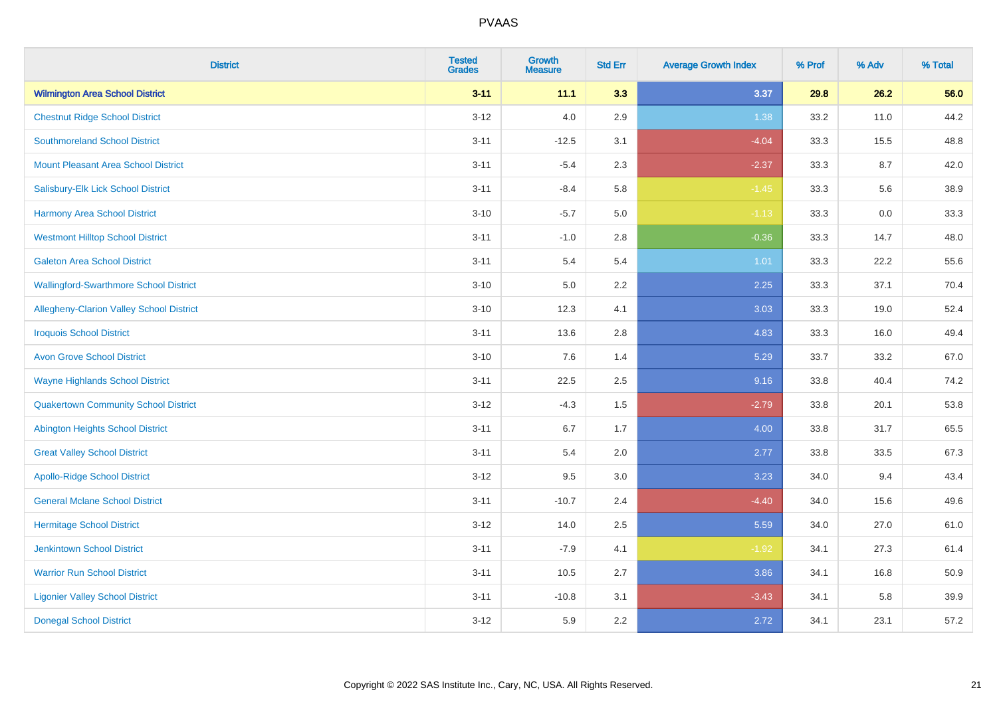| <b>District</b>                               | <b>Tested</b><br><b>Grades</b> | <b>Growth</b><br><b>Measure</b> | <b>Std Err</b> | <b>Average Growth Index</b> | % Prof | % Adv | % Total |
|-----------------------------------------------|--------------------------------|---------------------------------|----------------|-----------------------------|--------|-------|---------|
| <b>Wilmington Area School District</b>        | $3 - 11$                       | 11.1                            | 3.3            | 3.37                        | 29.8   | 26.2  | 56.0    |
| <b>Chestnut Ridge School District</b>         | $3 - 12$                       | $4.0\,$                         | 2.9            | 1.38                        | 33.2   | 11.0  | 44.2    |
| <b>Southmoreland School District</b>          | $3 - 11$                       | $-12.5$                         | 3.1            | $-4.04$                     | 33.3   | 15.5  | 48.8    |
| Mount Pleasant Area School District           | $3 - 11$                       | $-5.4$                          | 2.3            | $-2.37$                     | 33.3   | 8.7   | 42.0    |
| Salisbury-Elk Lick School District            | $3 - 11$                       | $-8.4$                          | 5.8            | $-1.45$                     | 33.3   | 5.6   | 38.9    |
| <b>Harmony Area School District</b>           | $3 - 10$                       | $-5.7$                          | 5.0            | $-1.13$                     | 33.3   | 0.0   | 33.3    |
| <b>Westmont Hilltop School District</b>       | $3 - 11$                       | $-1.0$                          | 2.8            | $-0.36$                     | 33.3   | 14.7  | 48.0    |
| <b>Galeton Area School District</b>           | $3 - 11$                       | 5.4                             | 5.4            | 1.01                        | 33.3   | 22.2  | 55.6    |
| <b>Wallingford-Swarthmore School District</b> | $3 - 10$                       | 5.0                             | 2.2            | 2.25                        | 33.3   | 37.1  | 70.4    |
| Allegheny-Clarion Valley School District      | $3 - 10$                       | 12.3                            | 4.1            | 3.03                        | 33.3   | 19.0  | 52.4    |
| <b>Iroquois School District</b>               | $3 - 11$                       | 13.6                            | 2.8            | 4.83                        | 33.3   | 16.0  | 49.4    |
| <b>Avon Grove School District</b>             | $3 - 10$                       | 7.6                             | 1.4            | 5.29                        | 33.7   | 33.2  | 67.0    |
| <b>Wayne Highlands School District</b>        | $3 - 11$                       | 22.5                            | 2.5            | 9.16                        | 33.8   | 40.4  | 74.2    |
| <b>Quakertown Community School District</b>   | $3 - 12$                       | $-4.3$                          | 1.5            | $-2.79$                     | 33.8   | 20.1  | 53.8    |
| <b>Abington Heights School District</b>       | $3 - 11$                       | 6.7                             | 1.7            | 4.00                        | 33.8   | 31.7  | 65.5    |
| <b>Great Valley School District</b>           | $3 - 11$                       | 5.4                             | 2.0            | 2.77                        | 33.8   | 33.5  | 67.3    |
| <b>Apollo-Ridge School District</b>           | $3 - 12$                       | 9.5                             | 3.0            | 3.23                        | 34.0   | 9.4   | 43.4    |
| <b>General Mclane School District</b>         | $3 - 11$                       | $-10.7$                         | 2.4            | $-4.40$                     | 34.0   | 15.6  | 49.6    |
| <b>Hermitage School District</b>              | $3 - 12$                       | 14.0                            | 2.5            | 5.59                        | 34.0   | 27.0  | 61.0    |
| <b>Jenkintown School District</b>             | $3 - 11$                       | $-7.9$                          | 4.1            | $-1.92$                     | 34.1   | 27.3  | 61.4    |
| <b>Warrior Run School District</b>            | $3 - 11$                       | 10.5                            | 2.7            | 3.86                        | 34.1   | 16.8  | 50.9    |
| <b>Ligonier Valley School District</b>        | $3 - 11$                       | $-10.8$                         | 3.1            | $-3.43$                     | 34.1   | 5.8   | 39.9    |
| <b>Donegal School District</b>                | $3 - 12$                       | 5.9                             | 2.2            | 2.72                        | 34.1   | 23.1  | 57.2    |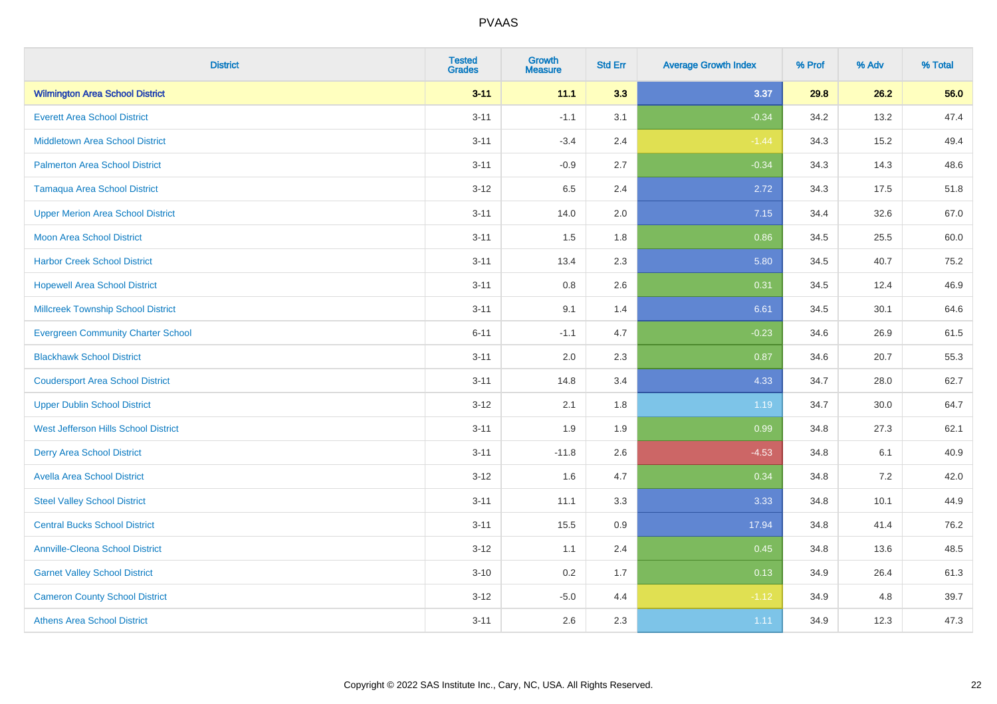| <b>District</b>                           | <b>Tested</b><br><b>Grades</b> | <b>Growth</b><br><b>Measure</b> | <b>Std Err</b> | <b>Average Growth Index</b> | % Prof | % Adv | % Total |
|-------------------------------------------|--------------------------------|---------------------------------|----------------|-----------------------------|--------|-------|---------|
| <b>Wilmington Area School District</b>    | $3 - 11$                       | 11.1                            | 3.3            | 3.37                        | 29.8   | 26.2  | 56.0    |
| <b>Everett Area School District</b>       | $3 - 11$                       | $-1.1$                          | 3.1            | $-0.34$                     | 34.2   | 13.2  | 47.4    |
| <b>Middletown Area School District</b>    | $3 - 11$                       | $-3.4$                          | 2.4            | $-1.44$                     | 34.3   | 15.2  | 49.4    |
| <b>Palmerton Area School District</b>     | $3 - 11$                       | $-0.9$                          | 2.7            | $-0.34$                     | 34.3   | 14.3  | 48.6    |
| <b>Tamaqua Area School District</b>       | $3 - 12$                       | 6.5                             | 2.4            | 2.72                        | 34.3   | 17.5  | 51.8    |
| <b>Upper Merion Area School District</b>  | $3 - 11$                       | 14.0                            | 2.0            | 7.15                        | 34.4   | 32.6  | 67.0    |
| Moon Area School District                 | $3 - 11$                       | 1.5                             | 1.8            | 0.86                        | 34.5   | 25.5  | 60.0    |
| <b>Harbor Creek School District</b>       | $3 - 11$                       | 13.4                            | 2.3            | 5.80                        | 34.5   | 40.7  | 75.2    |
| <b>Hopewell Area School District</b>      | $3 - 11$                       | 0.8                             | 2.6            | 0.31                        | 34.5   | 12.4  | 46.9    |
| <b>Millcreek Township School District</b> | $3 - 11$                       | 9.1                             | 1.4            | 6.61                        | 34.5   | 30.1  | 64.6    |
| <b>Evergreen Community Charter School</b> | $6 - 11$                       | $-1.1$                          | 4.7            | $-0.23$                     | 34.6   | 26.9  | 61.5    |
| <b>Blackhawk School District</b>          | $3 - 11$                       | 2.0                             | 2.3            | 0.87                        | 34.6   | 20.7  | 55.3    |
| <b>Coudersport Area School District</b>   | $3 - 11$                       | 14.8                            | 3.4            | 4.33                        | 34.7   | 28.0  | 62.7    |
| <b>Upper Dublin School District</b>       | $3 - 12$                       | 2.1                             | 1.8            | 1.19                        | 34.7   | 30.0  | 64.7    |
| West Jefferson Hills School District      | $3 - 11$                       | 1.9                             | 1.9            | 0.99                        | 34.8   | 27.3  | 62.1    |
| <b>Derry Area School District</b>         | $3 - 11$                       | $-11.8$                         | 2.6            | $-4.53$                     | 34.8   | 6.1   | 40.9    |
| <b>Avella Area School District</b>        | $3 - 12$                       | 1.6                             | 4.7            | 0.34                        | 34.8   | 7.2   | 42.0    |
| <b>Steel Valley School District</b>       | $3 - 11$                       | 11.1                            | 3.3            | 3.33                        | 34.8   | 10.1  | 44.9    |
| <b>Central Bucks School District</b>      | $3 - 11$                       | 15.5                            | 0.9            | 17.94                       | 34.8   | 41.4  | 76.2    |
| <b>Annville-Cleona School District</b>    | $3 - 12$                       | 1.1                             | 2.4            | 0.45                        | 34.8   | 13.6  | 48.5    |
| <b>Garnet Valley School District</b>      | $3 - 10$                       | 0.2                             | 1.7            | 0.13                        | 34.9   | 26.4  | 61.3    |
| <b>Cameron County School District</b>     | $3 - 12$                       | $-5.0$                          | 4.4            | $-1.12$                     | 34.9   | 4.8   | 39.7    |
| <b>Athens Area School District</b>        | $3 - 11$                       | 2.6                             | 2.3            | 1.11                        | 34.9   | 12.3  | 47.3    |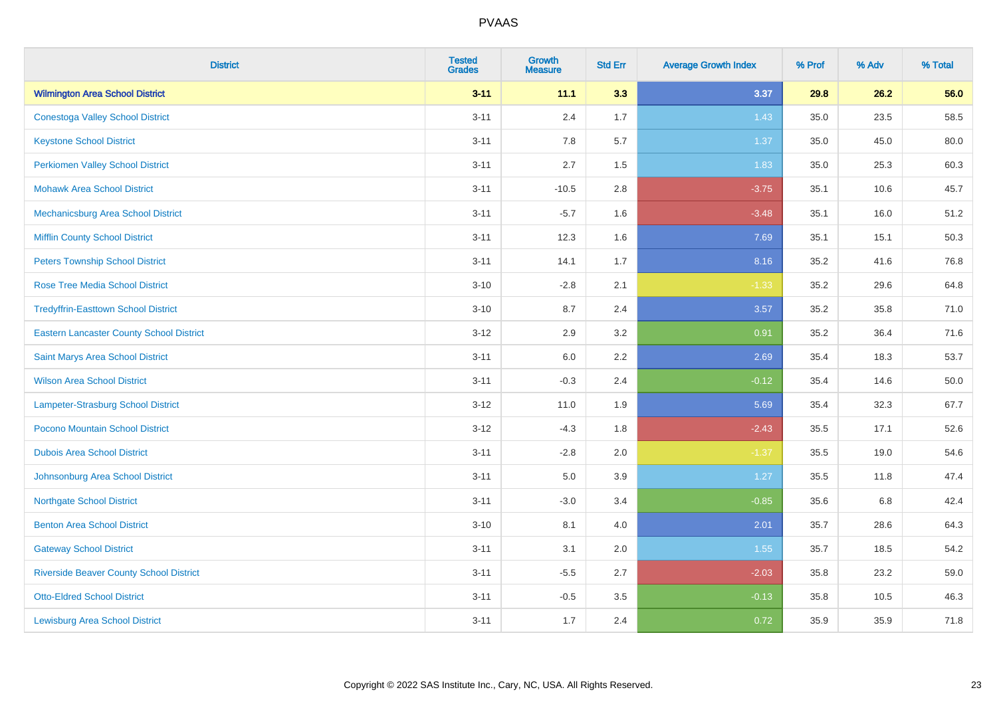| <b>District</b>                                 | <b>Tested</b><br><b>Grades</b> | <b>Growth</b><br><b>Measure</b> | <b>Std Err</b> | <b>Average Growth Index</b> | % Prof | % Adv | % Total |
|-------------------------------------------------|--------------------------------|---------------------------------|----------------|-----------------------------|--------|-------|---------|
| <b>Wilmington Area School District</b>          | $3 - 11$                       | 11.1                            | 3.3            | 3.37                        | 29.8   | 26.2  | 56.0    |
| <b>Conestoga Valley School District</b>         | $3 - 11$                       | 2.4                             | 1.7            | 1.43                        | 35.0   | 23.5  | 58.5    |
| <b>Keystone School District</b>                 | $3 - 11$                       | 7.8                             | 5.7            | 1.37                        | 35.0   | 45.0  | 80.0    |
| <b>Perkiomen Valley School District</b>         | $3 - 11$                       | 2.7                             | 1.5            | 1.83                        | 35.0   | 25.3  | 60.3    |
| <b>Mohawk Area School District</b>              | $3 - 11$                       | $-10.5$                         | 2.8            | $-3.75$                     | 35.1   | 10.6  | 45.7    |
| Mechanicsburg Area School District              | $3 - 11$                       | $-5.7$                          | 1.6            | $-3.48$                     | 35.1   | 16.0  | 51.2    |
| <b>Mifflin County School District</b>           | $3 - 11$                       | 12.3                            | 1.6            | 7.69                        | 35.1   | 15.1  | 50.3    |
| <b>Peters Township School District</b>          | $3 - 11$                       | 14.1                            | 1.7            | 8.16                        | 35.2   | 41.6  | 76.8    |
| <b>Rose Tree Media School District</b>          | $3 - 10$                       | $-2.8$                          | 2.1            | $-1.33$                     | 35.2   | 29.6  | 64.8    |
| <b>Tredyffrin-Easttown School District</b>      | $3 - 10$                       | 8.7                             | 2.4            | 3.57                        | 35.2   | 35.8  | 71.0    |
| <b>Eastern Lancaster County School District</b> | $3 - 12$                       | 2.9                             | 3.2            | 0.91                        | 35.2   | 36.4  | 71.6    |
| Saint Marys Area School District                | $3 - 11$                       | 6.0                             | 2.2            | 2.69                        | 35.4   | 18.3  | 53.7    |
| <b>Wilson Area School District</b>              | $3 - 11$                       | $-0.3$                          | 2.4            | $-0.12$                     | 35.4   | 14.6  | 50.0    |
| Lampeter-Strasburg School District              | $3 - 12$                       | 11.0                            | 1.9            | 5.69                        | 35.4   | 32.3  | 67.7    |
| Pocono Mountain School District                 | $3-12$                         | $-4.3$                          | 1.8            | $-2.43$                     | 35.5   | 17.1  | 52.6    |
| <b>Dubois Area School District</b>              | $3 - 11$                       | $-2.8$                          | 2.0            | $-1.37$                     | 35.5   | 19.0  | 54.6    |
| Johnsonburg Area School District                | $3 - 11$                       | 5.0                             | 3.9            | 1.27                        | 35.5   | 11.8  | 47.4    |
| <b>Northgate School District</b>                | $3 - 11$                       | $-3.0$                          | 3.4            | $-0.85$                     | 35.6   | 6.8   | 42.4    |
| <b>Benton Area School District</b>              | $3 - 10$                       | 8.1                             | 4.0            | 2.01                        | 35.7   | 28.6  | 64.3    |
| <b>Gateway School District</b>                  | $3 - 11$                       | 3.1                             | 2.0            | 1.55                        | 35.7   | 18.5  | 54.2    |
| <b>Riverside Beaver County School District</b>  | $3 - 11$                       | $-5.5$                          | 2.7            | $-2.03$                     | 35.8   | 23.2  | 59.0    |
| <b>Otto-Eldred School District</b>              | $3 - 11$                       | $-0.5$                          | 3.5            | $-0.13$                     | 35.8   | 10.5  | 46.3    |
| <b>Lewisburg Area School District</b>           | $3 - 11$                       | 1.7                             | 2.4            | 0.72                        | 35.9   | 35.9  | 71.8    |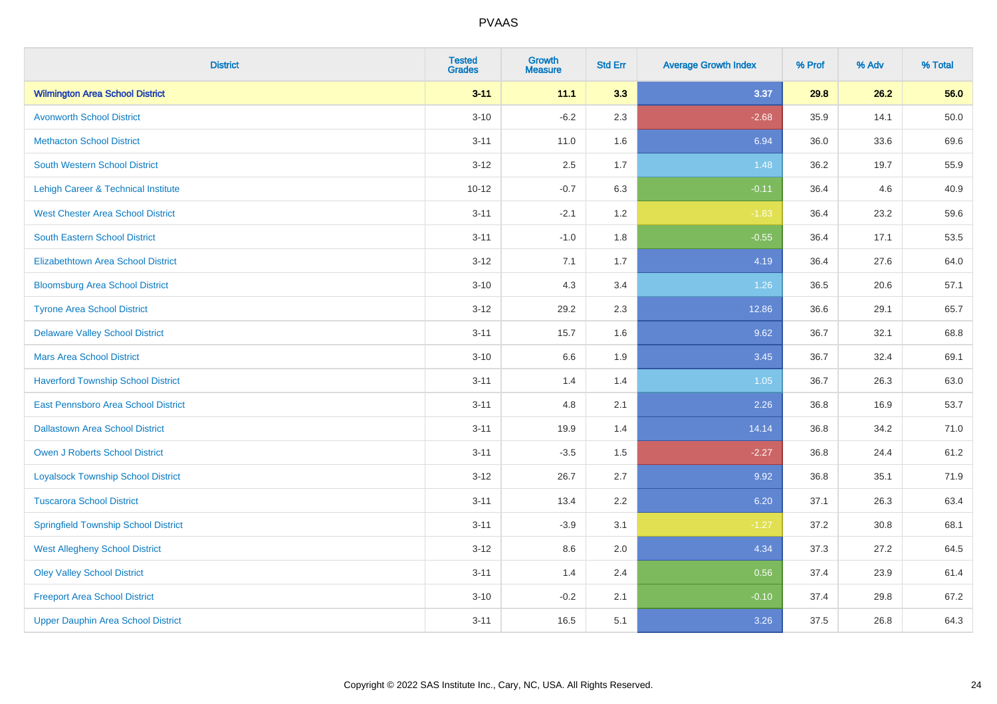| <b>District</b>                             | <b>Tested</b><br><b>Grades</b> | <b>Growth</b><br><b>Measure</b> | <b>Std Err</b> | <b>Average Growth Index</b> | % Prof | % Adv | % Total |
|---------------------------------------------|--------------------------------|---------------------------------|----------------|-----------------------------|--------|-------|---------|
| <b>Wilmington Area School District</b>      | $3 - 11$                       | 11.1                            | 3.3            | 3.37                        | 29.8   | 26.2  | 56.0    |
| <b>Avonworth School District</b>            | $3 - 10$                       | $-6.2$                          | 2.3            | $-2.68$                     | 35.9   | 14.1  | 50.0    |
| <b>Methacton School District</b>            | $3 - 11$                       | 11.0                            | 1.6            | 6.94                        | 36.0   | 33.6  | 69.6    |
| South Western School District               | $3 - 12$                       | 2.5                             | 1.7            | 1.48                        | 36.2   | 19.7  | 55.9    |
| Lehigh Career & Technical Institute         | $10 - 12$                      | $-0.7$                          | 6.3            | $-0.11$                     | 36.4   | 4.6   | 40.9    |
| <b>West Chester Area School District</b>    | $3 - 11$                       | $-2.1$                          | 1.2            | $-1.83$                     | 36.4   | 23.2  | 59.6    |
| South Eastern School District               | $3 - 11$                       | $-1.0$                          | 1.8            | $-0.55$                     | 36.4   | 17.1  | 53.5    |
| <b>Elizabethtown Area School District</b>   | $3 - 12$                       | 7.1                             | 1.7            | 4.19                        | 36.4   | 27.6  | 64.0    |
| <b>Bloomsburg Area School District</b>      | $3 - 10$                       | 4.3                             | 3.4            | 1.26                        | 36.5   | 20.6  | 57.1    |
| <b>Tyrone Area School District</b>          | $3 - 12$                       | 29.2                            | 2.3            | 12.86                       | 36.6   | 29.1  | 65.7    |
| <b>Delaware Valley School District</b>      | $3 - 11$                       | 15.7                            | 1.6            | 9.62                        | 36.7   | 32.1  | 68.8    |
| <b>Mars Area School District</b>            | $3 - 10$                       | $6.6\,$                         | 1.9            | 3.45                        | 36.7   | 32.4  | 69.1    |
| <b>Haverford Township School District</b>   | $3 - 11$                       | 1.4                             | 1.4            | 1.05                        | 36.7   | 26.3  | 63.0    |
| East Pennsboro Area School District         | $3 - 11$                       | 4.8                             | 2.1            | 2.26                        | 36.8   | 16.9  | 53.7    |
| <b>Dallastown Area School District</b>      | $3 - 11$                       | 19.9                            | 1.4            | 14.14                       | 36.8   | 34.2  | 71.0    |
| <b>Owen J Roberts School District</b>       | $3 - 11$                       | $-3.5$                          | 1.5            | $-2.27$                     | 36.8   | 24.4  | 61.2    |
| <b>Loyalsock Township School District</b>   | $3 - 12$                       | 26.7                            | 2.7            | 9.92                        | 36.8   | 35.1  | 71.9    |
| <b>Tuscarora School District</b>            | $3 - 11$                       | 13.4                            | 2.2            | 6.20                        | 37.1   | 26.3  | 63.4    |
| <b>Springfield Township School District</b> | $3 - 11$                       | $-3.9$                          | 3.1            | $-1.27$                     | 37.2   | 30.8  | 68.1    |
| <b>West Allegheny School District</b>       | $3 - 12$                       | 8.6                             | 2.0            | 4.34                        | 37.3   | 27.2  | 64.5    |
| <b>Oley Valley School District</b>          | $3 - 11$                       | 1.4                             | 2.4            | 0.56                        | 37.4   | 23.9  | 61.4    |
| <b>Freeport Area School District</b>        | $3 - 10$                       | $-0.2$                          | 2.1            | $-0.10$                     | 37.4   | 29.8  | 67.2    |
| <b>Upper Dauphin Area School District</b>   | $3 - 11$                       | 16.5                            | 5.1            | 3.26                        | 37.5   | 26.8  | 64.3    |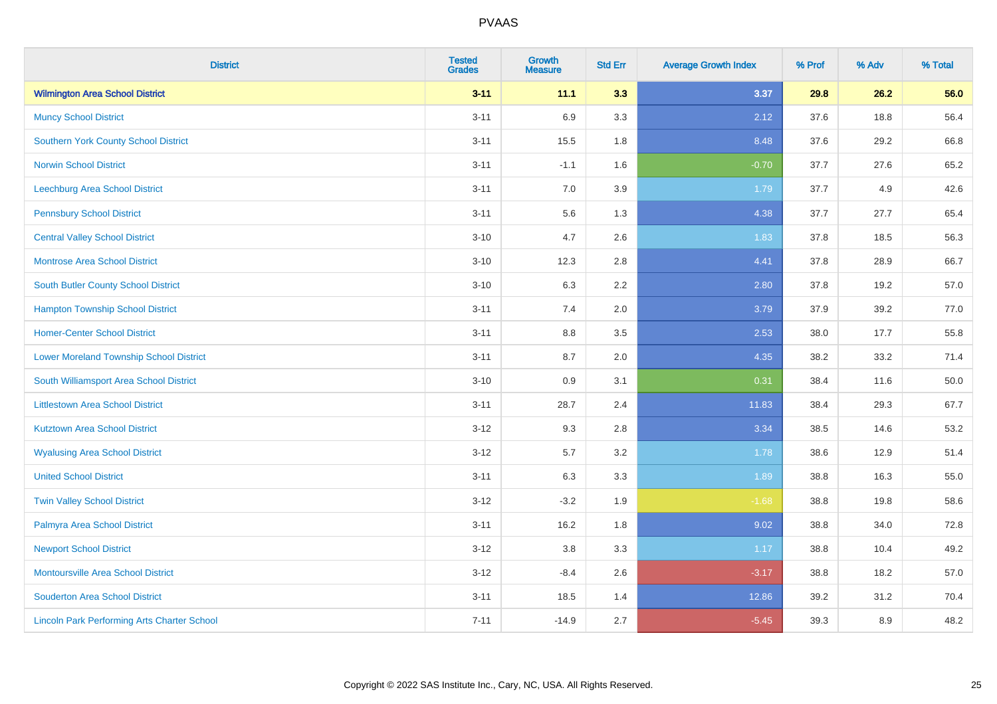| <b>District</b>                                    | <b>Tested</b><br><b>Grades</b> | <b>Growth</b><br><b>Measure</b> | <b>Std Err</b> | <b>Average Growth Index</b> | % Prof | % Adv | % Total |
|----------------------------------------------------|--------------------------------|---------------------------------|----------------|-----------------------------|--------|-------|---------|
| <b>Wilmington Area School District</b>             | $3 - 11$                       | 11.1                            | 3.3            | 3.37                        | 29.8   | 26.2  | 56.0    |
| <b>Muncy School District</b>                       | $3 - 11$                       | 6.9                             | 3.3            | 2.12                        | 37.6   | 18.8  | 56.4    |
| <b>Southern York County School District</b>        | $3 - 11$                       | 15.5                            | 1.8            | 8.48                        | 37.6   | 29.2  | 66.8    |
| <b>Norwin School District</b>                      | $3 - 11$                       | $-1.1$                          | 1.6            | $-0.70$                     | 37.7   | 27.6  | 65.2    |
| <b>Leechburg Area School District</b>              | $3 - 11$                       | 7.0                             | 3.9            | 1.79                        | 37.7   | 4.9   | 42.6    |
| <b>Pennsbury School District</b>                   | $3 - 11$                       | 5.6                             | 1.3            | 4.38                        | 37.7   | 27.7  | 65.4    |
| <b>Central Valley School District</b>              | $3 - 10$                       | 4.7                             | 2.6            | 1.83                        | 37.8   | 18.5  | 56.3    |
| <b>Montrose Area School District</b>               | $3 - 10$                       | 12.3                            | 2.8            | 4.41                        | 37.8   | 28.9  | 66.7    |
| South Butler County School District                | $3 - 10$                       | 6.3                             | 2.2            | 2.80                        | 37.8   | 19.2  | 57.0    |
| <b>Hampton Township School District</b>            | $3 - 11$                       | 7.4                             | 2.0            | 3.79                        | 37.9   | 39.2  | 77.0    |
| <b>Homer-Center School District</b>                | $3 - 11$                       | 8.8                             | 3.5            | 2.53                        | 38.0   | 17.7  | 55.8    |
| <b>Lower Moreland Township School District</b>     | $3 - 11$                       | 8.7                             | 2.0            | 4.35                        | 38.2   | 33.2  | 71.4    |
| South Williamsport Area School District            | $3 - 10$                       | $0.9\,$                         | 3.1            | 0.31                        | 38.4   | 11.6  | 50.0    |
| <b>Littlestown Area School District</b>            | $3 - 11$                       | 28.7                            | 2.4            | 11.83                       | 38.4   | 29.3  | 67.7    |
| <b>Kutztown Area School District</b>               | $3 - 12$                       | 9.3                             | 2.8            | 3.34                        | 38.5   | 14.6  | 53.2    |
| <b>Wyalusing Area School District</b>              | $3 - 12$                       | 5.7                             | 3.2            | 1.78                        | 38.6   | 12.9  | 51.4    |
| <b>United School District</b>                      | $3 - 11$                       | 6.3                             | 3.3            | 1.89                        | 38.8   | 16.3  | 55.0    |
| <b>Twin Valley School District</b>                 | $3 - 12$                       | $-3.2$                          | 1.9            | $-1.68$                     | 38.8   | 19.8  | 58.6    |
| Palmyra Area School District                       | $3 - 11$                       | 16.2                            | 1.8            | 9.02                        | 38.8   | 34.0  | 72.8    |
| <b>Newport School District</b>                     | $3 - 12$                       | 3.8                             | 3.3            | 1.17                        | 38.8   | 10.4  | 49.2    |
| Montoursville Area School District                 | $3-12$                         | $-8.4$                          | 2.6            | $-3.17$                     | 38.8   | 18.2  | 57.0    |
| <b>Souderton Area School District</b>              | $3 - 11$                       | 18.5                            | 1.4            | 12.86                       | 39.2   | 31.2  | 70.4    |
| <b>Lincoln Park Performing Arts Charter School</b> | $7 - 11$                       | $-14.9$                         | 2.7            | $-5.45$                     | 39.3   | 8.9   | 48.2    |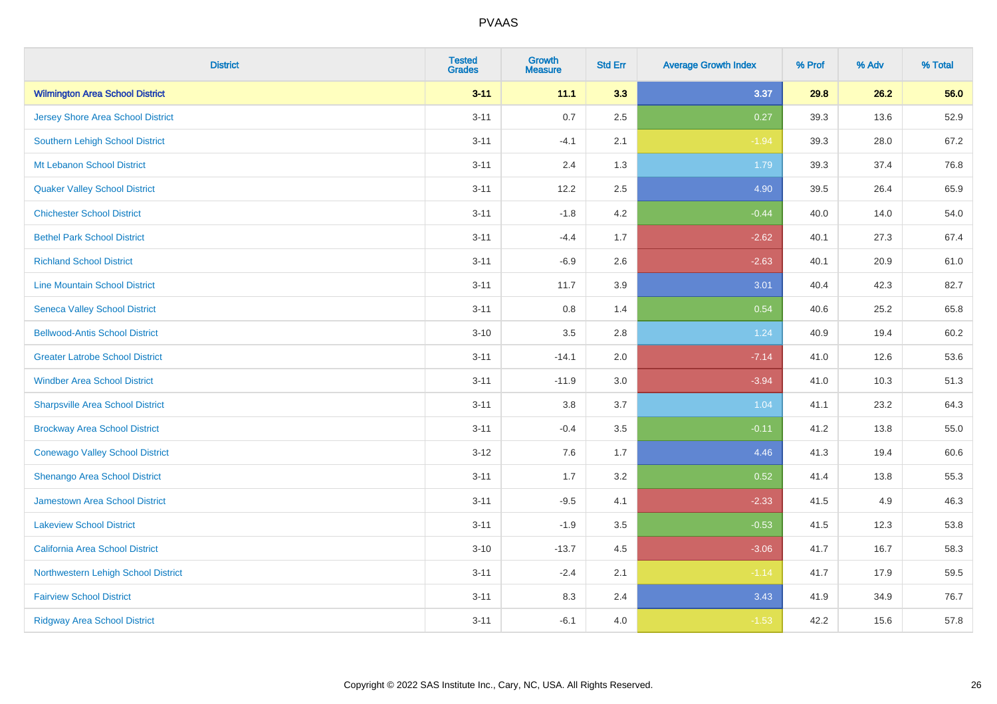| <b>District</b>                          | <b>Tested</b><br><b>Grades</b> | <b>Growth</b><br><b>Measure</b> | <b>Std Err</b> | <b>Average Growth Index</b> | % Prof | % Adv | % Total |
|------------------------------------------|--------------------------------|---------------------------------|----------------|-----------------------------|--------|-------|---------|
| <b>Wilmington Area School District</b>   | $3 - 11$                       | 11.1                            | 3.3            | 3.37                        | 29.8   | 26.2  | 56.0    |
| <b>Jersey Shore Area School District</b> | $3 - 11$                       | 0.7                             | 2.5            | 0.27                        | 39.3   | 13.6  | 52.9    |
| Southern Lehigh School District          | $3 - 11$                       | $-4.1$                          | 2.1            | $-1.94$                     | 39.3   | 28.0  | 67.2    |
| Mt Lebanon School District               | $3 - 11$                       | 2.4                             | 1.3            | 1.79                        | 39.3   | 37.4  | 76.8    |
| <b>Quaker Valley School District</b>     | $3 - 11$                       | 12.2                            | 2.5            | 4.90                        | 39.5   | 26.4  | 65.9    |
| <b>Chichester School District</b>        | $3 - 11$                       | $-1.8$                          | 4.2            | $-0.44$                     | 40.0   | 14.0  | 54.0    |
| <b>Bethel Park School District</b>       | $3 - 11$                       | $-4.4$                          | 1.7            | $-2.62$                     | 40.1   | 27.3  | 67.4    |
| <b>Richland School District</b>          | $3 - 11$                       | $-6.9$                          | 2.6            | $-2.63$                     | 40.1   | 20.9  | 61.0    |
| <b>Line Mountain School District</b>     | $3 - 11$                       | 11.7                            | 3.9            | 3.01                        | 40.4   | 42.3  | 82.7    |
| <b>Seneca Valley School District</b>     | $3 - 11$                       | 0.8                             | 1.4            | 0.54                        | 40.6   | 25.2  | 65.8    |
| <b>Bellwood-Antis School District</b>    | $3 - 10$                       | 3.5                             | 2.8            | 1.24                        | 40.9   | 19.4  | 60.2    |
| <b>Greater Latrobe School District</b>   | $3 - 11$                       | $-14.1$                         | 2.0            | $-7.14$                     | 41.0   | 12.6  | 53.6    |
| <b>Windber Area School District</b>      | $3 - 11$                       | $-11.9$                         | 3.0            | $-3.94$                     | 41.0   | 10.3  | 51.3    |
| <b>Sharpsville Area School District</b>  | $3 - 11$                       | $3.8\,$                         | 3.7            | 1.04                        | 41.1   | 23.2  | 64.3    |
| <b>Brockway Area School District</b>     | $3 - 11$                       | $-0.4$                          | 3.5            | $-0.11$                     | 41.2   | 13.8  | 55.0    |
| <b>Conewago Valley School District</b>   | $3 - 12$                       | 7.6                             | 1.7            | 4.46                        | 41.3   | 19.4  | 60.6    |
| Shenango Area School District            | $3 - 11$                       | 1.7                             | 3.2            | 0.52                        | 41.4   | 13.8  | 55.3    |
| Jamestown Area School District           | $3 - 11$                       | $-9.5$                          | 4.1            | $-2.33$                     | 41.5   | 4.9   | 46.3    |
| <b>Lakeview School District</b>          | $3 - 11$                       | $-1.9$                          | 3.5            | $-0.53$                     | 41.5   | 12.3  | 53.8    |
| California Area School District          | $3 - 10$                       | $-13.7$                         | 4.5            | $-3.06$                     | 41.7   | 16.7  | 58.3    |
| Northwestern Lehigh School District      | $3 - 11$                       | $-2.4$                          | 2.1            | $-1.14$                     | 41.7   | 17.9  | 59.5    |
| <b>Fairview School District</b>          | $3 - 11$                       | 8.3                             | 2.4            | 3.43                        | 41.9   | 34.9  | 76.7    |
| <b>Ridgway Area School District</b>      | $3 - 11$                       | $-6.1$                          | 4.0            | $-1.53$                     | 42.2   | 15.6  | 57.8    |